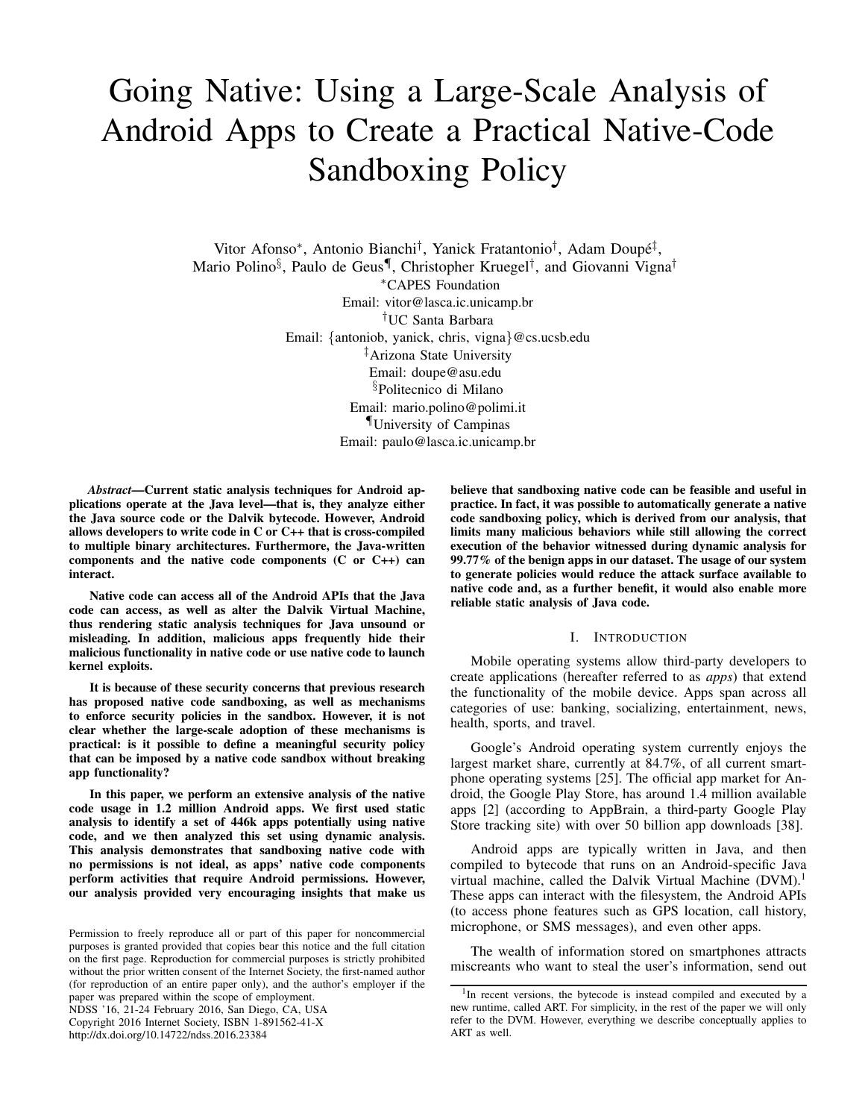# Going Native: Using a Large-Scale Analysis of Android Apps to Create a Practical Native-Code Sandboxing Policy

Vitor Afonso*∗* , Antonio Bianchi*†* , Yanick Fratantonio*†* , Adam Doupe´ *‡* , Mario Polino*§* , Paulo de Geus*¶* , Christopher Kruegel*†* , and Giovanni Vigna*† ∗*CAPES Foundation Email: vitor@lasca.ic.unicamp.br *†*UC Santa Barbara Email: *{*antoniob, yanick, chris, vigna*}*@cs.ucsb.edu *‡*Arizona State University Email: doupe@asu.edu *§*Politecnico di Milano Email: mario.polino@polimi.it *¶*University of Campinas Email: paulo@lasca.ic.unicamp.br

*Abstract*—Current static analysis techniques for Android applications operate at the Java level—that is, they analyze either the Java source code or the Dalvik bytecode. However, Android allows developers to write code in  $C$  or  $C_{++}$  that is cross-compiled to multiple binary architectures. Furthermore, the Java-written components and the native code components (C or C++) can interact.

Native code can access all of the Android APIs that the Java code can access, as well as alter the Dalvik Virtual Machine, thus rendering static analysis techniques for Java unsound or misleading. In addition, malicious apps frequently hide their malicious functionality in native code or use native code to launch kernel exploits.

It is because of these security concerns that previous research has proposed native code sandboxing, as well as mechanisms to enforce security policies in the sandbox. However, it is not clear whether the large-scale adoption of these mechanisms is practical: is it possible to define a meaningful security policy that can be imposed by a native code sandbox without breaking app functionality?

In this paper, we perform an extensive analysis of the native code usage in 1.2 million Android apps. We first used static analysis to identify a set of 446k apps potentially using native code, and we then analyzed this set using dynamic analysis. This analysis demonstrates that sandboxing native code with no permissions is not ideal, as apps' native code components perform activities that require Android permissions. However, our analysis provided very encouraging insights that make us

NDSS '16, 21-24 February 2016, San Diego, CA, USA Copyright 2016 Internet Society, ISBN 1-891562-41-X

http://dx.doi.org/10.14722/ndss.2016.23384

believe that sandboxing native code can be feasible and useful in practice. In fact, it was possible to automatically generate a native code sandboxing policy, which is derived from our analysis, that limits many malicious behaviors while still allowing the correct execution of the behavior witnessed during dynamic analysis for 99.77% of the benign apps in our dataset. The usage of our system to generate policies would reduce the attack surface available to native code and, as a further benefit, it would also enable more reliable static analysis of Java code.

#### I. INTRODUCTION

Mobile operating systems allow third-party developers to create applications (hereafter referred to as *apps*) that extend the functionality of the mobile device. Apps span across all categories of use: banking, socializing, entertainment, news, health, sports, and travel.

Google's Android operating system currently enjoys the largest market share, currently at 84.7%, of all current smartphone operating systems [25]. The official app market for Android, the Google Play Store, has around 1.4 million available apps [2] (according to AppBrain, a third-party Google Play Store tracking site) with over 50 billion app downloads [38].

Android apps are typically written in Java, and then compiled to bytecode that runs on an Android-specific Java virtual machine, called the Dalvik Virtual Machine (DVM).<sup>1</sup> These apps can interact with the filesystem, the Android APIs (to access phone features such as GPS location, call history, microphone, or SMS messages), and even other apps.

The wealth of information stored on smartphones attracts miscreants who want to steal the user's information, send out

Permission to freely reproduce all or part of this paper for noncommercial purposes is granted provided that copies bear this notice and the full citation on the first page. Reproduction for commercial purposes is strictly prohibited without the prior written consent of the Internet Society, the first-named author (for reproduction of an entire paper only), and the author's employer if the paper was prepared within the scope of employment.

<sup>&</sup>lt;sup>1</sup>In recent versions, the bytecode is instead compiled and executed by a new runtime, called ART. For simplicity, in the rest of the paper we will only refer to the DVM. However, everything we describe conceptually applies to ART as well.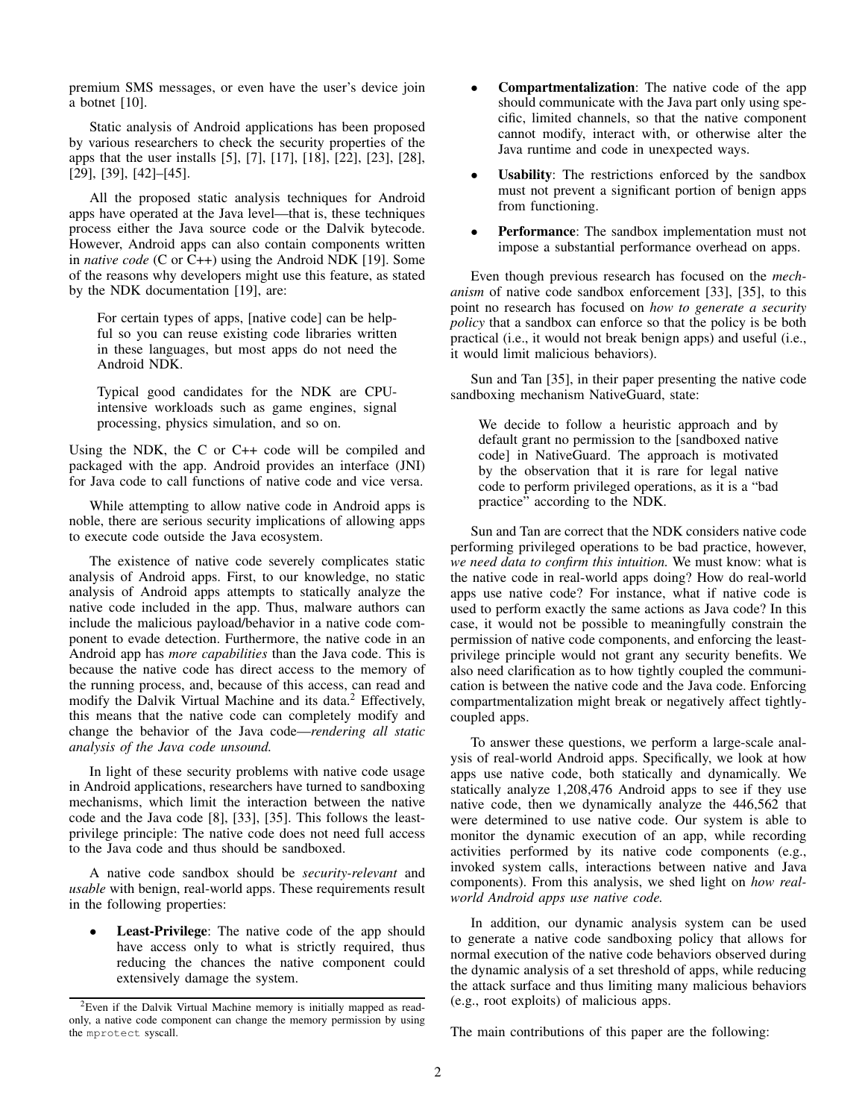premium SMS messages, or even have the user's device join a botnet [10].

Static analysis of Android applications has been proposed by various researchers to check the security properties of the apps that the user installs [5], [7], [17], [18], [22], [23], [28], [29], [39], [42]–[45].

All the proposed static analysis techniques for Android apps have operated at the Java level—that is, these techniques process either the Java source code or the Dalvik bytecode. However, Android apps can also contain components written in *native code* (C or C++) using the Android NDK [19]. Some of the reasons why developers might use this feature, as stated by the NDK documentation [19], are:

For certain types of apps, [native code] can be helpful so you can reuse existing code libraries written in these languages, but most apps do not need the Android NDK.

Typical good candidates for the NDK are CPUintensive workloads such as game engines, signal processing, physics simulation, and so on.

Using the NDK, the C or C++ code will be compiled and packaged with the app. Android provides an interface (JNI) for Java code to call functions of native code and vice versa.

While attempting to allow native code in Android apps is noble, there are serious security implications of allowing apps to execute code outside the Java ecosystem.

The existence of native code severely complicates static analysis of Android apps. First, to our knowledge, no static analysis of Android apps attempts to statically analyze the native code included in the app. Thus, malware authors can include the malicious payload/behavior in a native code component to evade detection. Furthermore, the native code in an Android app has *more capabilities* than the Java code. This is because the native code has direct access to the memory of the running process, and, because of this access, can read and modify the Dalvik Virtual Machine and its data. $<sup>2</sup>$  Effectively,</sup> this means that the native code can completely modify and change the behavior of the Java code—*rendering all static analysis of the Java code unsound.*

In light of these security problems with native code usage in Android applications, researchers have turned to sandboxing mechanisms, which limit the interaction between the native code and the Java code [8], [33], [35]. This follows the leastprivilege principle: The native code does not need full access to the Java code and thus should be sandboxed.

A native code sandbox should be *security-relevant* and *usable* with benign, real-world apps. These requirements result in the following properties:

**Least-Privilege:** The native code of the app should have access only to what is strictly required, thus reducing the chances the native component could extensively damage the system.

- **Compartmentalization:** The native code of the app should communicate with the Java part only using specific, limited channels, so that the native component cannot modify, interact with, or otherwise alter the Java runtime and code in unexpected ways.
- **Usability:** The restrictions enforced by the sandbox must not prevent a significant portion of benign apps from functioning.
- **Performance:** The sandbox implementation must not impose a substantial performance overhead on apps.

Even though previous research has focused on the *mechanism* of native code sandbox enforcement [33], [35], to this point no research has focused on *how to generate a security policy* that a sandbox can enforce so that the policy is be both practical (i.e., it would not break benign apps) and useful (i.e., it would limit malicious behaviors).

Sun and Tan [35], in their paper presenting the native code sandboxing mechanism NativeGuard, state:

We decide to follow a heuristic approach and by default grant no permission to the [sandboxed native code] in NativeGuard. The approach is motivated by the observation that it is rare for legal native code to perform privileged operations, as it is a "bad practice" according to the NDK.

Sun and Tan are correct that the NDK considers native code performing privileged operations to be bad practice, however, *we need data to confirm this intuition.* We must know: what is the native code in real-world apps doing? How do real-world apps use native code? For instance, what if native code is used to perform exactly the same actions as Java code? In this case, it would not be possible to meaningfully constrain the permission of native code components, and enforcing the leastprivilege principle would not grant any security benefits. We also need clarification as to how tightly coupled the communication is between the native code and the Java code. Enforcing compartmentalization might break or negatively affect tightlycoupled apps.

To answer these questions, we perform a large-scale analysis of real-world Android apps. Specifically, we look at how apps use native code, both statically and dynamically. We statically analyze 1,208,476 Android apps to see if they use native code, then we dynamically analyze the 446,562 that were determined to use native code. Our system is able to monitor the dynamic execution of an app, while recording activities performed by its native code components (e.g., invoked system calls, interactions between native and Java components). From this analysis, we shed light on *how realworld Android apps use native code.*

In addition, our dynamic analysis system can be used to generate a native code sandboxing policy that allows for normal execution of the native code behaviors observed during the dynamic analysis of a set threshold of apps, while reducing the attack surface and thus limiting many malicious behaviors (e.g., root exploits) of malicious apps.

The main contributions of this paper are the following:

<sup>2</sup>Even if the Dalvik Virtual Machine memory is initially mapped as readonly, a native code component can change the memory permission by using the mprotect syscall.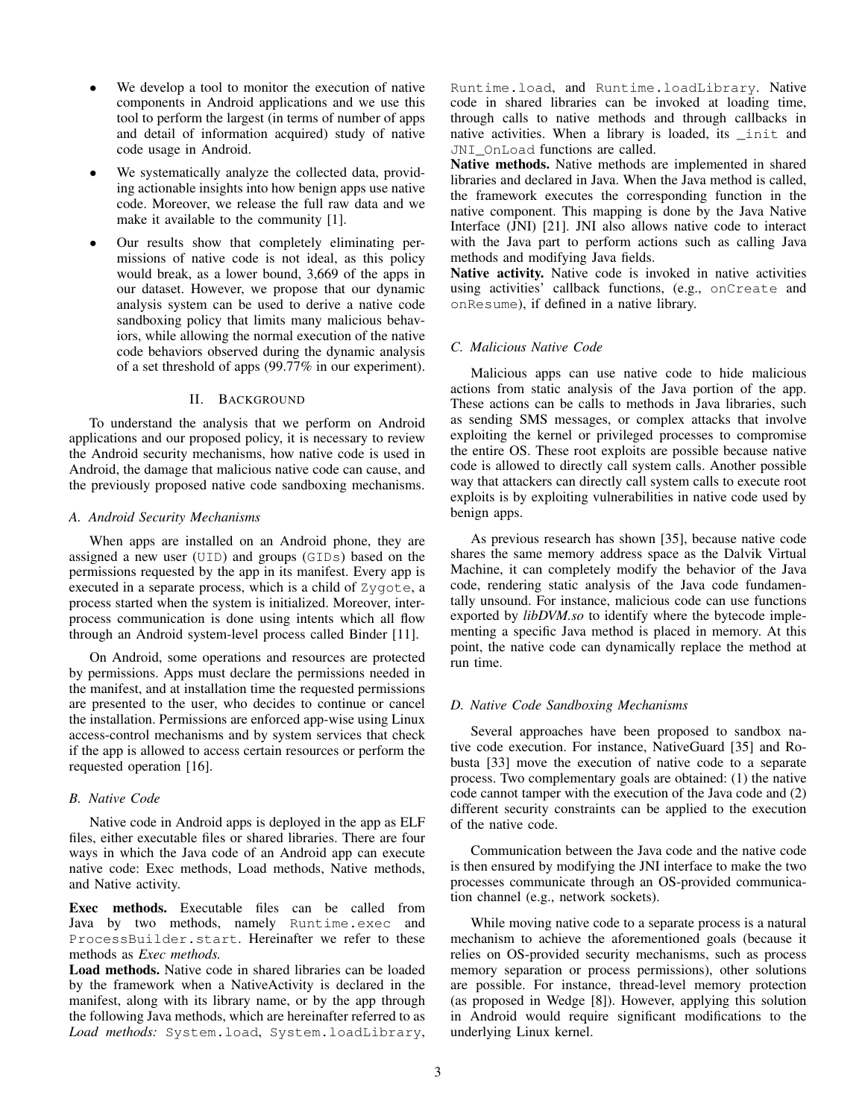- We develop a tool to monitor the execution of native components in Android applications and we use this tool to perform the largest (in terms of number of apps and detail of information acquired) study of native code usage in Android.
- We systematically analyze the collected data, providing actionable insights into how benign apps use native code. Moreover, we release the full raw data and we make it available to the community [1].
- *•* Our results show that completely eliminating permissions of native code is not ideal, as this policy would break, as a lower bound, 3,669 of the apps in our dataset. However, we propose that our dynamic analysis system can be used to derive a native code sandboxing policy that limits many malicious behaviors, while allowing the normal execution of the native code behaviors observed during the dynamic analysis of a set threshold of apps (99.77% in our experiment).

## II. BACKGROUND

To understand the analysis that we perform on Android applications and our proposed policy, it is necessary to review the Android security mechanisms, how native code is used in Android, the damage that malicious native code can cause, and the previously proposed native code sandboxing mechanisms.

## *A. Android Security Mechanisms*

When apps are installed on an Android phone, they are assigned a new user (UID) and groups (GIDs) based on the permissions requested by the app in its manifest. Every app is executed in a separate process, which is a child of Zygote, a process started when the system is initialized. Moreover, interprocess communication is done using intents which all flow through an Android system-level process called Binder [11].

On Android, some operations and resources are protected by permissions. Apps must declare the permissions needed in the manifest, and at installation time the requested permissions are presented to the user, who decides to continue or cancel the installation. Permissions are enforced app-wise using Linux access-control mechanisms and by system services that check if the app is allowed to access certain resources or perform the requested operation [16].

## *B. Native Code*

Native code in Android apps is deployed in the app as ELF files, either executable files or shared libraries. There are four ways in which the Java code of an Android app can execute native code: Exec methods, Load methods, Native methods, and Native activity.

Exec methods. Executable files can be called from Java by two methods, namely Runtime.exec and ProcessBuilder.start. Hereinafter we refer to these methods as *Exec methods.*

Load methods. Native code in shared libraries can be loaded by the framework when a NativeActivity is declared in the manifest, along with its library name, or by the app through the following Java methods, which are hereinafter referred to as *Load methods:* System.load, System.loadLibrary, Runtime.load, and Runtime.loadLibrary. Native code in shared libraries can be invoked at loading time, through calls to native methods and through callbacks in native activities. When a library is loaded, its \_init and JNI\_OnLoad functions are called.

Native methods. Native methods are implemented in shared libraries and declared in Java. When the Java method is called, the framework executes the corresponding function in the native component. This mapping is done by the Java Native Interface (JNI) [21]. JNI also allows native code to interact with the Java part to perform actions such as calling Java methods and modifying Java fields.

Native activity. Native code is invoked in native activities using activities' callback functions, (e.g., onCreate and onResume), if defined in a native library.

## *C. Malicious Native Code*

Malicious apps can use native code to hide malicious actions from static analysis of the Java portion of the app. These actions can be calls to methods in Java libraries, such as sending SMS messages, or complex attacks that involve exploiting the kernel or privileged processes to compromise the entire OS. These root exploits are possible because native code is allowed to directly call system calls. Another possible way that attackers can directly call system calls to execute root exploits is by exploiting vulnerabilities in native code used by benign apps.

As previous research has shown [35], because native code shares the same memory address space as the Dalvik Virtual Machine, it can completely modify the behavior of the Java code, rendering static analysis of the Java code fundamentally unsound. For instance, malicious code can use functions exported by *libDVM.so* to identify where the bytecode implementing a specific Java method is placed in memory. At this point, the native code can dynamically replace the method at run time.

# *D. Native Code Sandboxing Mechanisms*

Several approaches have been proposed to sandbox native code execution. For instance, NativeGuard [35] and Robusta [33] move the execution of native code to a separate process. Two complementary goals are obtained: (1) the native code cannot tamper with the execution of the Java code and (2) different security constraints can be applied to the execution of the native code.

Communication between the Java code and the native code is then ensured by modifying the JNI interface to make the two processes communicate through an OS-provided communication channel (e.g., network sockets).

While moving native code to a separate process is a natural mechanism to achieve the aforementioned goals (because it relies on OS-provided security mechanisms, such as process memory separation or process permissions), other solutions are possible. For instance, thread-level memory protection (as proposed in Wedge [8]). However, applying this solution in Android would require significant modifications to the underlying Linux kernel.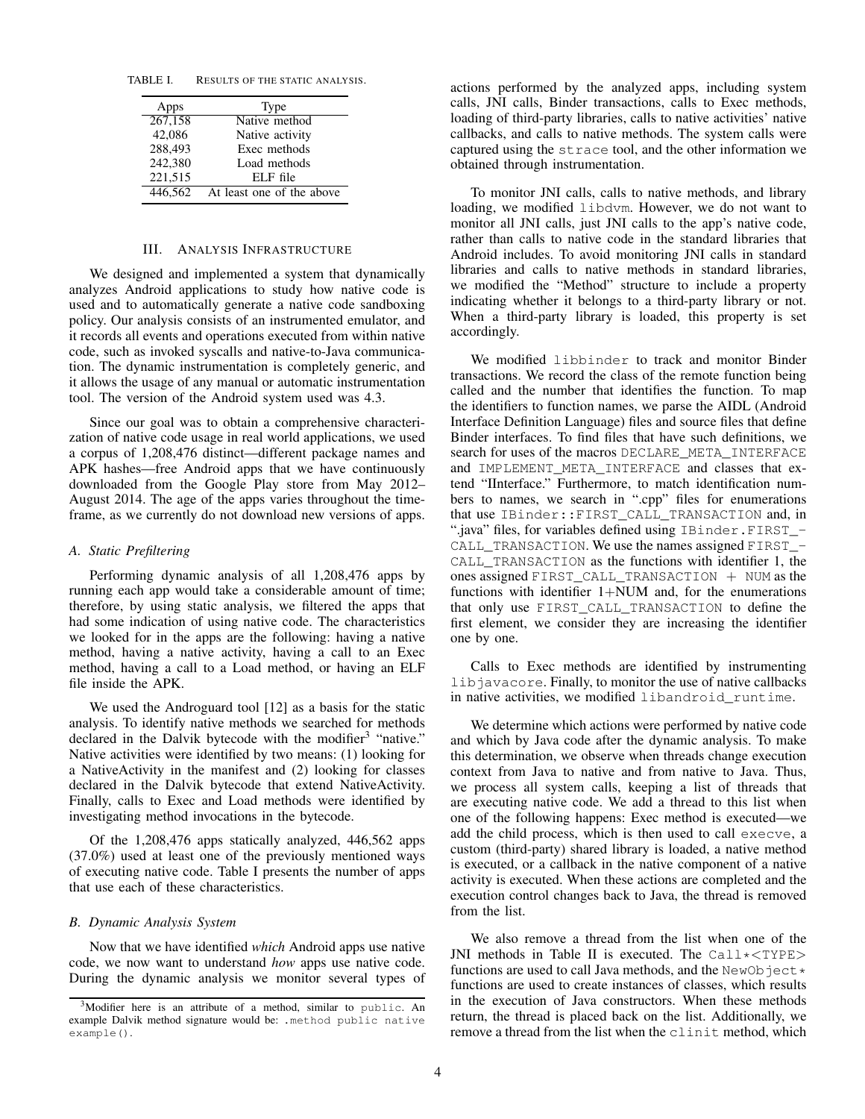TABLE I. RESULTS OF THE STATIC ANALYSIS.

| Apps    | Type                      |
|---------|---------------------------|
| 267,158 | Native method             |
| 42,086  | Native activity           |
| 288,493 | Exec methods              |
| 242,380 | Load methods              |
| 221,515 | $ELE$ file                |
| 446.562 | At least one of the above |

# III. ANALYSIS INFRASTRUCTURE

We designed and implemented a system that dynamically analyzes Android applications to study how native code is used and to automatically generate a native code sandboxing policy. Our analysis consists of an instrumented emulator, and it records all events and operations executed from within native code, such as invoked syscalls and native-to-Java communication. The dynamic instrumentation is completely generic, and it allows the usage of any manual or automatic instrumentation tool. The version of the Android system used was 4.3.

Since our goal was to obtain a comprehensive characterization of native code usage in real world applications, we used a corpus of 1,208,476 distinct—different package names and APK hashes—free Android apps that we have continuously downloaded from the Google Play store from May 2012– August 2014. The age of the apps varies throughout the timeframe, as we currently do not download new versions of apps.

#### *A. Static Prefiltering*

Performing dynamic analysis of all 1,208,476 apps by running each app would take a considerable amount of time; therefore, by using static analysis, we filtered the apps that had some indication of using native code. The characteristics we looked for in the apps are the following: having a native method, having a native activity, having a call to an Exec method, having a call to a Load method, or having an ELF file inside the APK.

We used the Androguard tool [12] as a basis for the static analysis. To identify native methods we searched for methods declared in the Dalvik bytecode with the modifier<sup>3</sup> "native." Native activities were identified by two means: (1) looking for a NativeActivity in the manifest and (2) looking for classes declared in the Dalvik bytecode that extend NativeActivity. Finally, calls to Exec and Load methods were identified by investigating method invocations in the bytecode.

Of the 1,208,476 apps statically analyzed, 446,562 apps (37.0%) used at least one of the previously mentioned ways of executing native code. Table I presents the number of apps that use each of these characteristics.

# *B. Dynamic Analysis System*

Now that we have identified *which* Android apps use native code, we now want to understand *how* apps use native code. During the dynamic analysis we monitor several types of actions performed by the analyzed apps, including system calls, JNI calls, Binder transactions, calls to Exec methods, loading of third-party libraries, calls to native activities' native callbacks, and calls to native methods. The system calls were captured using the strace tool, and the other information we obtained through instrumentation.

To monitor JNI calls, calls to native methods, and library loading, we modified libdvm. However, we do not want to monitor all JNI calls, just JNI calls to the app's native code, rather than calls to native code in the standard libraries that Android includes. To avoid monitoring JNI calls in standard libraries and calls to native methods in standard libraries, we modified the "Method" structure to include a property indicating whether it belongs to a third-party library or not. When a third-party library is loaded, this property is set accordingly.

We modified libbinder to track and monitor Binder transactions. We record the class of the remote function being called and the number that identifies the function. To map the identifiers to function names, we parse the AIDL (Android Interface Definition Language) files and source files that define Binder interfaces. To find files that have such definitions, we search for uses of the macros DECLARE\_META\_INTERFACE and IMPLEMENT META INTERFACE and classes that extend "IInterface." Furthermore, to match identification numbers to names, we search in ".cpp" files for enumerations that use IBinder::FIRST\_CALL\_TRANSACTION and, in ".java" files, for variables defined using IBinder.FIRST\_-CALL\_TRANSACTION. We use the names assigned FIRST\_- CALL\_TRANSACTION as the functions with identifier 1, the ones assigned FIRST\_CALL\_TRANSACTION + NUM as the functions with identifier  $1+NUM$  and, for the enumerations that only use FIRST\_CALL\_TRANSACTION to define the first element, we consider they are increasing the identifier one by one.

Calls to Exec methods are identified by instrumenting libjavacore. Finally, to monitor the use of native callbacks in native activities, we modified libandroid\_runtime.

We determine which actions were performed by native code and which by Java code after the dynamic analysis. To make this determination, we observe when threads change execution context from Java to native and from native to Java. Thus, we process all system calls, keeping a list of threads that are executing native code. We add a thread to this list when one of the following happens: Exec method is executed—we add the child process, which is then used to call execve, a custom (third-party) shared library is loaded, a native method is executed, or a callback in the native component of a native activity is executed. When these actions are completed and the execution control changes back to Java, the thread is removed from the list.

We also remove a thread from the list when one of the JNI methods in Table II is executed. The Call\**<*TYPE*>* functions are used to call Java methods, and the NewObject  $\star$ functions are used to create instances of classes, which results in the execution of Java constructors. When these methods return, the thread is placed back on the list. Additionally, we remove a thread from the list when the clinit method, which

 $3$ Modifier here is an attribute of a method, similar to public. An example Dalvik method signature would be: .method public native example().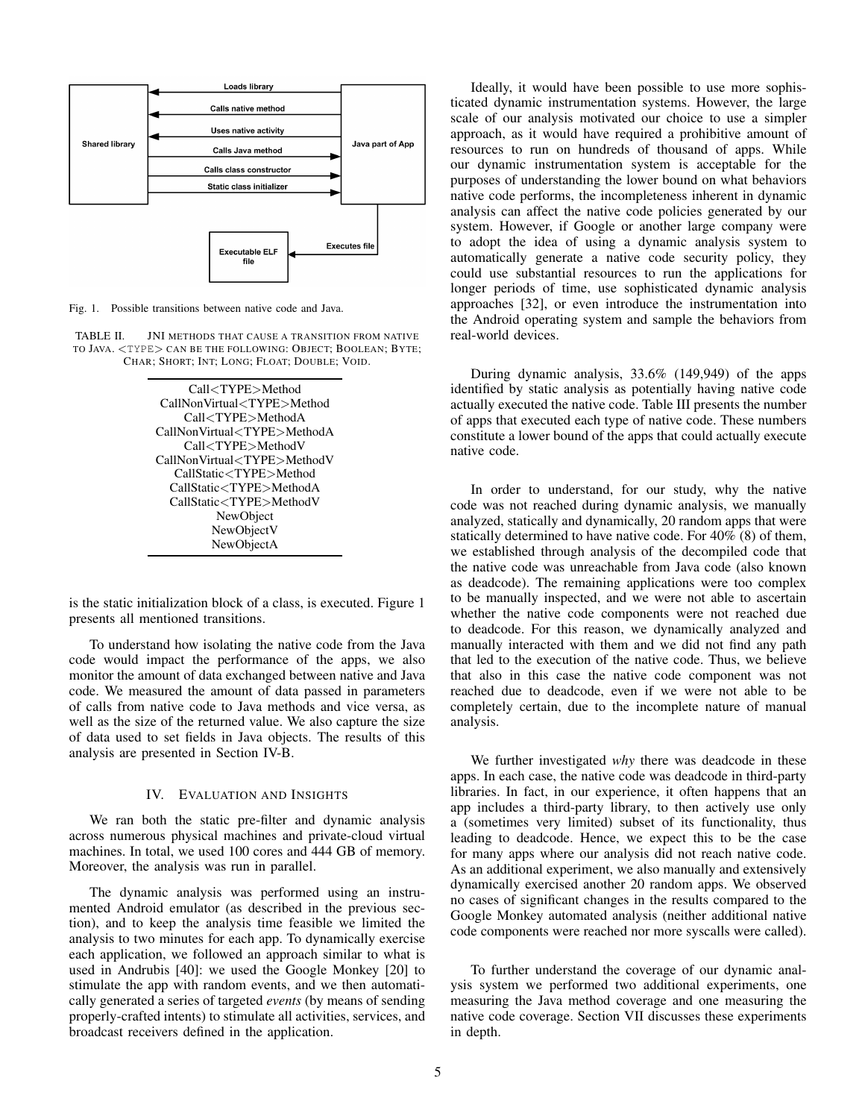

Fig. 1. Possible transitions between native code and Java.

TABLE II. JNI METHODS THAT CAUSE A TRANSITION FROM NATIVE TO JAVA. *<*TYPE*>* CAN BE THE FOLLOWING: OBJECT; BOOLEAN; BYTE; CHAR; SHORT; INT; LONG; FLOAT; DOUBLE; VOID.



is the static initialization block of a class, is executed. Figure 1 presents all mentioned transitions.

To understand how isolating the native code from the Java code would impact the performance of the apps, we also monitor the amount of data exchanged between native and Java code. We measured the amount of data passed in parameters of calls from native code to Java methods and vice versa, as well as the size of the returned value. We also capture the size of data used to set fields in Java objects. The results of this analysis are presented in Section IV-B.

# IV. EVALUATION AND INSIGHTS

We ran both the static pre-filter and dynamic analysis across numerous physical machines and private-cloud virtual machines. In total, we used 100 cores and 444 GB of memory. Moreover, the analysis was run in parallel.

The dynamic analysis was performed using an instrumented Android emulator (as described in the previous section), and to keep the analysis time feasible we limited the analysis to two minutes for each app. To dynamically exercise each application, we followed an approach similar to what is used in Andrubis [40]: we used the Google Monkey [20] to stimulate the app with random events, and we then automatically generated a series of targeted *events* (by means of sending properly-crafted intents) to stimulate all activities, services, and broadcast receivers defined in the application.

Ideally, it would have been possible to use more sophisticated dynamic instrumentation systems. However, the large scale of our analysis motivated our choice to use a simpler approach, as it would have required a prohibitive amount of resources to run on hundreds of thousand of apps. While our dynamic instrumentation system is acceptable for the purposes of understanding the lower bound on what behaviors native code performs, the incompleteness inherent in dynamic analysis can affect the native code policies generated by our system. However, if Google or another large company were to adopt the idea of using a dynamic analysis system to automatically generate a native code security policy, they could use substantial resources to run the applications for longer periods of time, use sophisticated dynamic analysis approaches [32], or even introduce the instrumentation into the Android operating system and sample the behaviors from real-world devices.

During dynamic analysis, 33.6% (149,949) of the apps identified by static analysis as potentially having native code actually executed the native code. Table III presents the number of apps that executed each type of native code. These numbers constitute a lower bound of the apps that could actually execute native code.

In order to understand, for our study, why the native code was not reached during dynamic analysis, we manually analyzed, statically and dynamically, 20 random apps that were statically determined to have native code. For 40% (8) of them, we established through analysis of the decompiled code that the native code was unreachable from Java code (also known as deadcode). The remaining applications were too complex to be manually inspected, and we were not able to ascertain whether the native code components were not reached due to deadcode. For this reason, we dynamically analyzed and manually interacted with them and we did not find any path that led to the execution of the native code. Thus, we believe that also in this case the native code component was not reached due to deadcode, even if we were not able to be completely certain, due to the incomplete nature of manual analysis.

We further investigated *why* there was deadcode in these apps. In each case, the native code was deadcode in third-party libraries. In fact, in our experience, it often happens that an app includes a third-party library, to then actively use only a (sometimes very limited) subset of its functionality, thus leading to deadcode. Hence, we expect this to be the case for many apps where our analysis did not reach native code. As an additional experiment, we also manually and extensively dynamically exercised another 20 random apps. We observed no cases of significant changes in the results compared to the Google Monkey automated analysis (neither additional native code components were reached nor more syscalls were called).

To further understand the coverage of our dynamic analysis system we performed two additional experiments, one measuring the Java method coverage and one measuring the native code coverage. Section VII discusses these experiments in depth.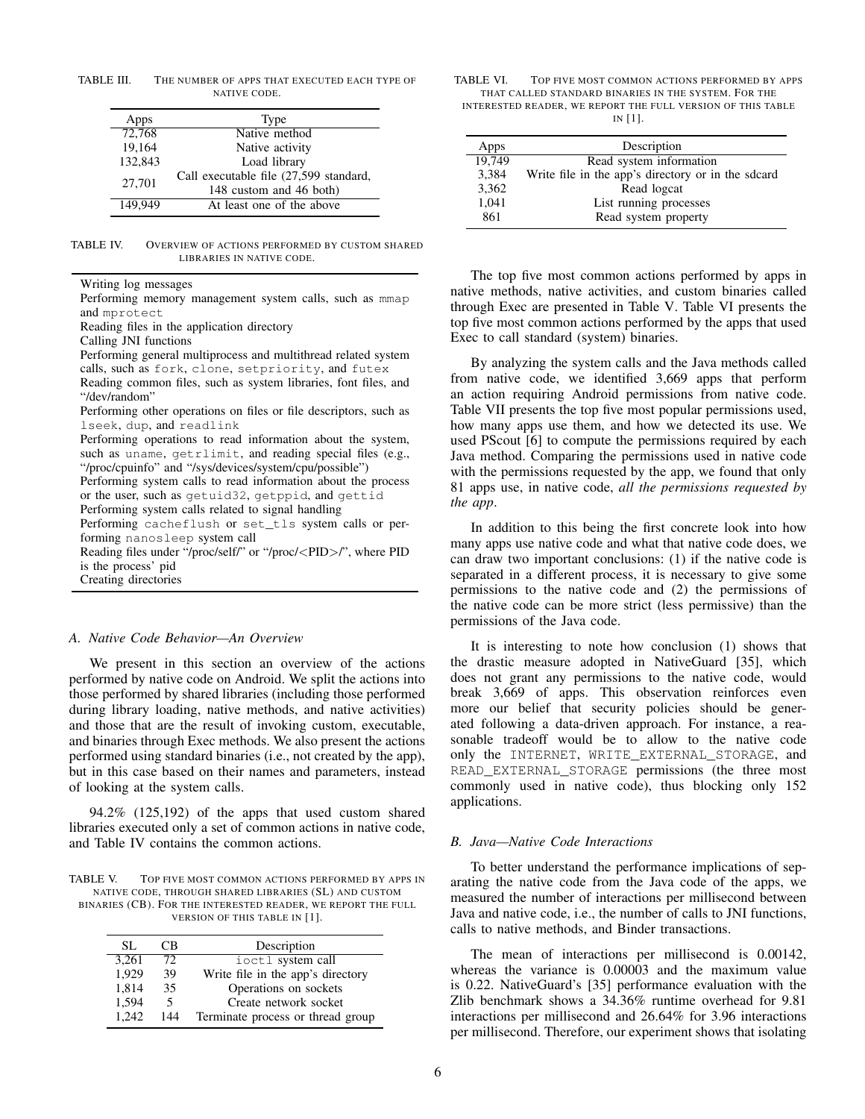TABLE III. THE NUMBER OF APPS THAT EXECUTED EACH TYPE OF NATIVE CODE.

| Apps    | Type                                                              |
|---------|-------------------------------------------------------------------|
| 72,768  | Native method                                                     |
| 19,164  | Native activity                                                   |
| 132,843 | Load library                                                      |
| 27,701  | Call executable file (27,599 standard,<br>148 custom and 46 both) |
| 149.949 | At least one of the above                                         |

TABLE IV. OVERVIEW OF ACTIONS PERFORMED BY CUSTOM SHARED LIBRARIES IN NATIVE CODE.

Writing log messages

Performing memory management system calls, such as mmap and mprotect

Reading files in the application directory

Calling JNI functions

Performing general multiprocess and multithread related system calls, such as fork, clone, setpriority, and futex Reading common files, such as system libraries, font files, and "/dev/random"

Performing other operations on files or file descriptors, such as lseek, dup, and readlink

Performing operations to read information about the system, such as uname, getrlimit, and reading special files (e.g., "/proc/cpuinfo" and "/sys/devices/system/cpu/possible")

Performing system calls to read information about the process or the user, such as getuid32, getppid, and gettid Performing system calls related to signal handling

Performing cacheflush or set\_tls system calls or per-

forming nanosleep system call

Reading files under "/proc/self/" or "/proc/*<*PID*>*/", where PID is the process' pid Creating directories

#### *A. Native Code Behavior—An Overview*

We present in this section an overview of the actions performed by native code on Android. We split the actions into those performed by shared libraries (including those performed during library loading, native methods, and native activities) and those that are the result of invoking custom, executable, and binaries through Exec methods. We also present the actions performed using standard binaries (i.e., not created by the app), but in this case based on their names and parameters, instead of looking at the system calls.

94.2% (125,192) of the apps that used custom shared libraries executed only a set of common actions in native code, and Table IV contains the common actions.

TABLE V. TOP FIVE MOST COMMON ACTIONS PERFORMED BY APPS IN NATIVE CODE, THROUGH SHARED LIBRARIES (SL) AND CUSTOM BINARIES (CB). FOR THE INTERESTED READER, WE REPORT THE FULL VERSION OF THIS TABLE IN [1].

| SL.   | CB. | Description                       |  |
|-------|-----|-----------------------------------|--|
| 3.261 | 72  | ioctl system call                 |  |
| 1,929 | 39  | Write file in the app's directory |  |
| 1.814 | 35  | Operations on sockets             |  |
| 1.594 | 5   | Create network socket             |  |
| 1.242 | 144 | Terminate process or thread group |  |

TABLE VI. TOP FIVE MOST COMMON ACTIONS PERFORMED BY APPS THAT CALLED STANDARD BINARIES IN THE SYSTEM. FOR THE INTERESTED READER, WE REPORT THE FULL VERSION OF THIS TABLE IN [1].

| Apps   | Description                                        |
|--------|----------------------------------------------------|
| 19.749 | Read system information                            |
| 3,384  | Write file in the app's directory or in the sdcard |
| 3,362  | Read logcat                                        |
| 1,041  | List running processes                             |
| 861    | Read system property                               |

The top five most common actions performed by apps in native methods, native activities, and custom binaries called through Exec are presented in Table V. Table VI presents the top five most common actions performed by the apps that used Exec to call standard (system) binaries.

By analyzing the system calls and the Java methods called from native code, we identified 3,669 apps that perform an action requiring Android permissions from native code. Table VII presents the top five most popular permissions used, how many apps use them, and how we detected its use. We used PScout [6] to compute the permissions required by each Java method. Comparing the permissions used in native code with the permissions requested by the app, we found that only 81 apps use, in native code, *all the permissions requested by the app*.

In addition to this being the first concrete look into how many apps use native code and what that native code does, we can draw two important conclusions: (1) if the native code is separated in a different process, it is necessary to give some permissions to the native code and (2) the permissions of the native code can be more strict (less permissive) than the permissions of the Java code.

It is interesting to note how conclusion (1) shows that the drastic measure adopted in NativeGuard [35], which does not grant any permissions to the native code, would break 3,669 of apps. This observation reinforces even more our belief that security policies should be generated following a data-driven approach. For instance, a reasonable tradeoff would be to allow to the native code only the INTERNET, WRITE\_EXTERNAL\_STORAGE, and READ\_EXTERNAL\_STORAGE permissions (the three most commonly used in native code), thus blocking only 152 applications.

#### *B. Java—Native Code Interactions*

To better understand the performance implications of separating the native code from the Java code of the apps, we measured the number of interactions per millisecond between Java and native code, i.e., the number of calls to JNI functions, calls to native methods, and Binder transactions.

The mean of interactions per millisecond is 0.00142, whereas the variance is 0.00003 and the maximum value is 0.22. NativeGuard's [35] performance evaluation with the Zlib benchmark shows a 34.36% runtime overhead for 9.81 interactions per millisecond and 26.64% for 3.96 interactions per millisecond. Therefore, our experiment shows that isolating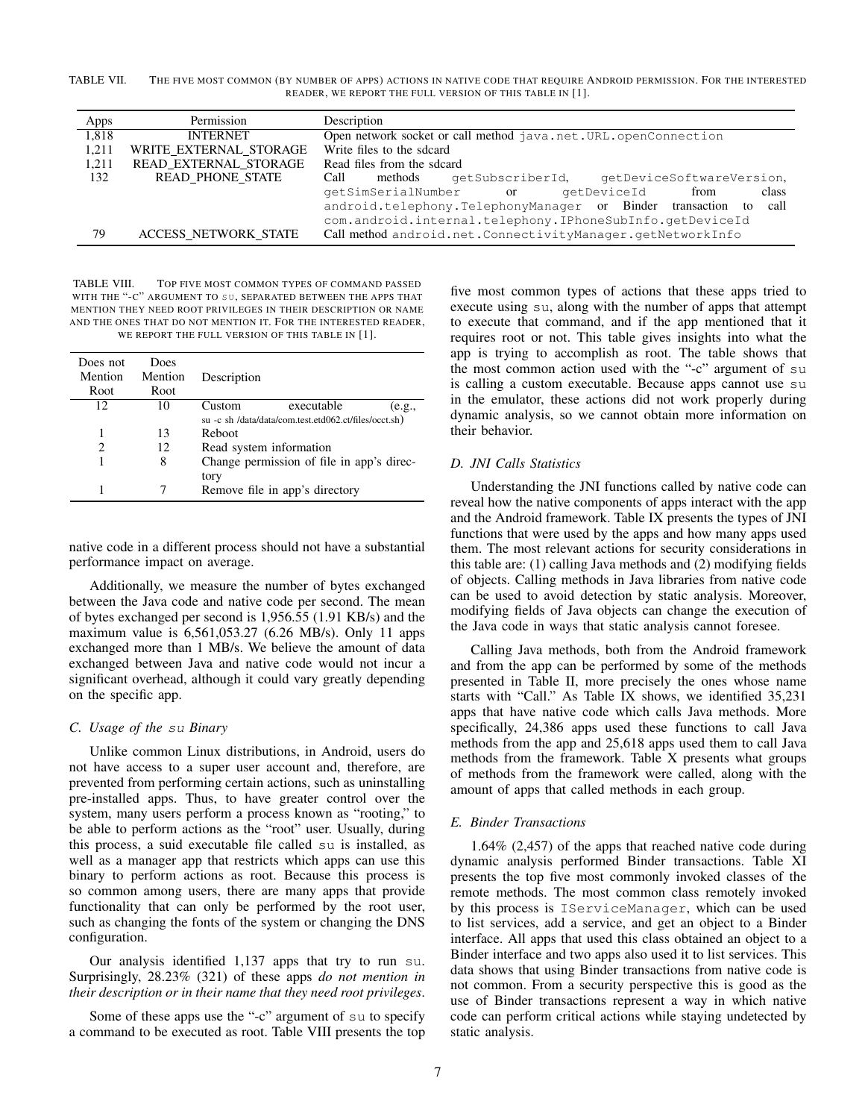TABLE VII. THE FIVE MOST COMMON (BY NUMBER OF APPS) ACTIONS IN NATIVE CODE THAT REQUIRE ANDROID PERMISSION. FOR THE INTERESTED READER, WE REPORT THE FULL VERSION OF THIS TABLE IN [1].

| Apps  | Permission                  | Description                                                                             |  |  |
|-------|-----------------------------|-----------------------------------------------------------------------------------------|--|--|
| 1,818 | <b>INTERNET</b>             | Open network socket or call method java.net.URL.openConnection                          |  |  |
| 1.211 | WRITE EXTERNAL STORAGE      | Write files to the sdcard                                                               |  |  |
| 1.211 | READ EXTERNAL STORAGE       | Read files from the sdcard                                                              |  |  |
| 132   | <b>READ PHONE STATE</b>     | Call<br>methods<br>getSubscriberId,<br>qetDeviceSoftwareVersion,                        |  |  |
|       |                             | qetSimSerialNumber or<br>class<br>from<br>qetDeviceId                                   |  |  |
|       |                             | android.telephony.TelephonyManager or Binder transaction<br>call<br>$\mathsf{f} \Omega$ |  |  |
|       |                             | com.android.internal.telephony.IPhoneSubInfo.qetDeviceId                                |  |  |
| 79    | <b>ACCESS NETWORK STATE</b> | Call method android.net.ConnectivityManager.getNetworkInfo                              |  |  |
|       |                             |                                                                                         |  |  |

TABLE VIII. TOP FIVE MOST COMMON TYPES OF COMMAND PASSED WITH THE "-C" ARGUMENT TO SU, SEPARATED BETWEEN THE APPS THAT MENTION THEY NEED ROOT PRIVILEGES IN THEIR DESCRIPTION OR NAME AND THE ONES THAT DO NOT MENTION IT. FOR THE INTERESTED READER, WE REPORT THE FULL VERSION OF THIS TABLE IN [1].

| Does not<br>Mention<br>Root | Does<br>Mention<br>Root | Description             |                                                       |        |
|-----------------------------|-------------------------|-------------------------|-------------------------------------------------------|--------|
| 12                          | 10                      | Custom                  | executable                                            | (e.g., |
|                             |                         |                         | su -c sh /data/data/com.test.etd062.ct/files/occt.sh) |        |
| 1                           | 13                      | Reboot                  |                                                       |        |
| 2                           | 12                      | Read system information |                                                       |        |
|                             | 8                       |                         | Change permission of file in app's direc-             |        |
|                             |                         | tory                    |                                                       |        |
|                             |                         |                         | Remove file in app's directory                        |        |

native code in a different process should not have a substantial performance impact on average.

Additionally, we measure the number of bytes exchanged between the Java code and native code per second. The mean of bytes exchanged per second is 1,956.55 (1.91 KB/s) and the maximum value is 6,561,053.27 (6.26 MB/s). Only 11 apps exchanged more than 1 MB/s. We believe the amount of data exchanged between Java and native code would not incur a significant overhead, although it could vary greatly depending on the specific app.

## *C. Usage of the su Binary*

Unlike common Linux distributions, in Android, users do not have access to a super user account and, therefore, are prevented from performing certain actions, such as uninstalling pre-installed apps. Thus, to have greater control over the system, many users perform a process known as "rooting," to be able to perform actions as the "root" user. Usually, during this process, a suid executable file called su is installed, as well as a manager app that restricts which apps can use this binary to perform actions as root. Because this process is so common among users, there are many apps that provide functionality that can only be performed by the root user, such as changing the fonts of the system or changing the DNS configuration.

Our analysis identified 1,137 apps that try to run su. Surprisingly, 28.23% (321) of these apps *do not mention in their description or in their name that they need root privileges*.

Some of these apps use the "-c" argument of su to specify a command to be executed as root. Table VIII presents the top five most common types of actions that these apps tried to execute using su, along with the number of apps that attempt to execute that command, and if the app mentioned that it requires root or not. This table gives insights into what the app is trying to accomplish as root. The table shows that the most common action used with the "-c" argument of su is calling a custom executable. Because apps cannot use su in the emulator, these actions did not work properly during dynamic analysis, so we cannot obtain more information on their behavior.

# *D. JNI Calls Statistics*

Understanding the JNI functions called by native code can reveal how the native components of apps interact with the app and the Android framework. Table IX presents the types of JNI functions that were used by the apps and how many apps used them. The most relevant actions for security considerations in this table are: (1) calling Java methods and (2) modifying fields of objects. Calling methods in Java libraries from native code can be used to avoid detection by static analysis. Moreover, modifying fields of Java objects can change the execution of the Java code in ways that static analysis cannot foresee.

Calling Java methods, both from the Android framework and from the app can be performed by some of the methods presented in Table II, more precisely the ones whose name starts with "Call." As Table IX shows, we identified 35,231 apps that have native code which calls Java methods. More specifically, 24,386 apps used these functions to call Java methods from the app and 25,618 apps used them to call Java methods from the framework. Table X presents what groups of methods from the framework were called, along with the amount of apps that called methods in each group.

# *E. Binder Transactions*

1.64% (2,457) of the apps that reached native code during dynamic analysis performed Binder transactions. Table XI presents the top five most commonly invoked classes of the remote methods. The most common class remotely invoked by this process is IServiceManager, which can be used to list services, add a service, and get an object to a Binder interface. All apps that used this class obtained an object to a Binder interface and two apps also used it to list services. This data shows that using Binder transactions from native code is not common. From a security perspective this is good as the use of Binder transactions represent a way in which native code can perform critical actions while staying undetected by static analysis.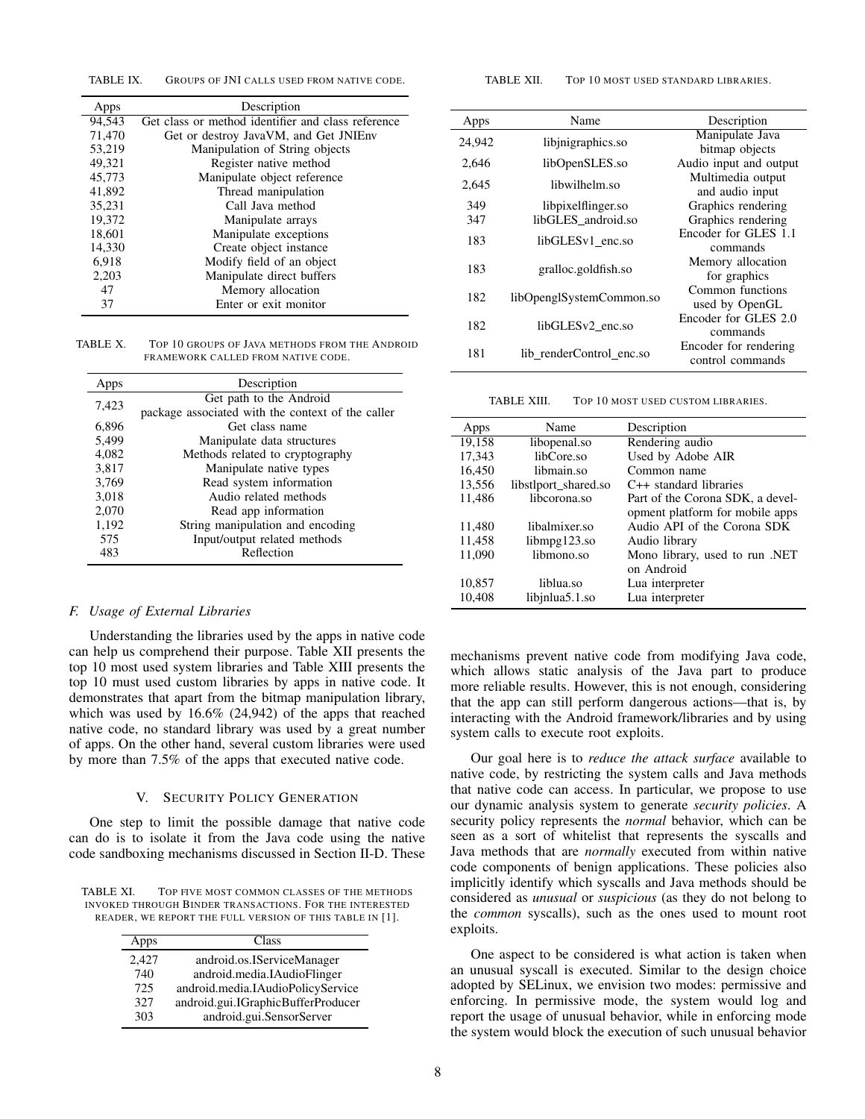TABLE IX. GROUPS OF JNI CALLS USED FROM NATIVE CODE.

| Apps   | Description                                        |  |  |
|--------|----------------------------------------------------|--|--|
| 94.543 | Get class or method identifier and class reference |  |  |
| 71,470 | Get or destroy JavaVM, and Get JNIEnv              |  |  |
| 53,219 | Manipulation of String objects                     |  |  |
| 49,321 | Register native method                             |  |  |
| 45,773 | Manipulate object reference                        |  |  |
| 41.892 | Thread manipulation                                |  |  |
| 35,231 | Call Java method                                   |  |  |
| 19.372 | Manipulate arrays                                  |  |  |
| 18,601 | Manipulate exceptions                              |  |  |
| 14,330 | Create object instance                             |  |  |
| 6,918  | Modify field of an object                          |  |  |
| 2,203  | Manipulate direct buffers                          |  |  |
| 47     | Memory allocation                                  |  |  |
| 37     | Enter or exit monitor                              |  |  |

TABLE X. TOP 10 GROUPS OF JAVA METHODS FROM THE ANDROID FRAMEWORK CALLED FROM NATIVE CODE.

| Apps  | Description                                       |
|-------|---------------------------------------------------|
| 7,423 | Get path to the Android                           |
|       | package associated with the context of the caller |
| 6,896 | Get class name                                    |
| 5,499 | Manipulate data structures                        |
| 4,082 | Methods related to cryptography                   |
| 3,817 | Manipulate native types                           |
| 3,769 | Read system information                           |
| 3,018 | Audio related methods                             |
| 2,070 | Read app information                              |
| 1,192 | String manipulation and encoding                  |
| 575   | Input/output related methods                      |
| 483   | Reflection                                        |

#### *F. Usage of External Libraries*

Understanding the libraries used by the apps in native code can help us comprehend their purpose. Table XII presents the top 10 most used system libraries and Table XIII presents the top 10 must used custom libraries by apps in native code. It demonstrates that apart from the bitmap manipulation library, which was used by 16.6% (24,942) of the apps that reached native code, no standard library was used by a great number of apps. On the other hand, several custom libraries were used by more than 7.5% of the apps that executed native code.

#### V. SECURITY POLICY GENERATION

One step to limit the possible damage that native code can do is to isolate it from the Java code using the native code sandboxing mechanisms discussed in Section II-D. These

TABLE XI. TOP FIVE MOST COMMON CLASSES OF THE METHODS INVOKED THROUGH BINDER TRANSACTIONS. FOR THE INTERESTED READER, WE REPORT THE FULL VERSION OF THIS TABLE IN [1].

| Apps  | Class                              |
|-------|------------------------------------|
| 2,427 | android.os.IServiceManager         |
| 740   | android.media.IAudioFlinger        |
| 725   | android.media.IAudioPolicyService  |
| 327   | android.gui.IGraphicBufferProducer |
| 303   | android.gui.SensorServer           |

TABLE XII. TOP 10 MOST USED STANDARD LIBRARIES.

| Apps   | Name                         | Description            |
|--------|------------------------------|------------------------|
| 24,942 | libinigraphics.so            | Manipulate Java        |
|        |                              | bitmap objects         |
| 2,646  | libOpenSLES.so               | Audio input and output |
| 2.645  | libwilhelm.so                | Multimedia output      |
|        |                              | and audio input        |
| 349    | libpixelflinger.so           | Graphics rendering     |
| 347    | libGLES android.so           | Graphics rendering     |
|        |                              | Encoder for GLES 1.1   |
| 183    | libGLES <sub>v1</sub> enc.so | commands               |
|        |                              | Memory allocation      |
| 183    | gralloc.goldfish.so          | for graphics           |
|        |                              | Common functions       |
| 182    | libOpenglSystemCommon.so     | used by OpenGL         |
|        |                              | Encoder for GLES 2.0   |
| 182    | libGLES <sub>v2</sub> enc.so | commands               |
|        |                              | Encoder for rendering  |
| 181    | lib renderControl enc.so     | control commands       |
|        |                              |                        |

TABLE XIII. TOP 10 MOST USED CUSTOM LIBRARIES.

| Apps   | Name                 | Description                      |
|--------|----------------------|----------------------------------|
| 19,158 | libopenal.so         | Rendering audio                  |
| 17,343 | libCore.so           | Used by Adobe AIR                |
| 16,450 | libmain.so           | Common name                      |
| 13,556 | libstlport shared.so | $C_{++}$ standard libraries      |
| 11,486 | libcorona.so         | Part of the Corona SDK, a devel- |
|        |                      | opment platform for mobile apps  |
| 11,480 | libalmixer.so        | Audio API of the Corona SDK      |
| 11,458 | $libmpg123$ .so      | Audio library                    |
| 11,090 | libmono.so           | Mono library, used to run .NET   |
|        |                      | on Android                       |
| 10,857 | liblua.so            | Lua interpreter                  |
| 10,408 | libinlua5.1.so       | Lua interpreter                  |

mechanisms prevent native code from modifying Java code, which allows static analysis of the Java part to produce more reliable results. However, this is not enough, considering that the app can still perform dangerous actions—that is, by interacting with the Android framework/libraries and by using system calls to execute root exploits.

Our goal here is to *reduce the attack surface* available to native code, by restricting the system calls and Java methods that native code can access. In particular, we propose to use our dynamic analysis system to generate *security policies*. A security policy represents the *normal* behavior, which can be seen as a sort of whitelist that represents the syscalls and Java methods that are *normally* executed from within native code components of benign applications. These policies also implicitly identify which syscalls and Java methods should be considered as *unusual* or *suspicious* (as they do not belong to the *common* syscalls), such as the ones used to mount root exploits.

One aspect to be considered is what action is taken when an unusual syscall is executed. Similar to the design choice adopted by SELinux, we envision two modes: permissive and enforcing. In permissive mode, the system would log and report the usage of unusual behavior, while in enforcing mode the system would block the execution of such unusual behavior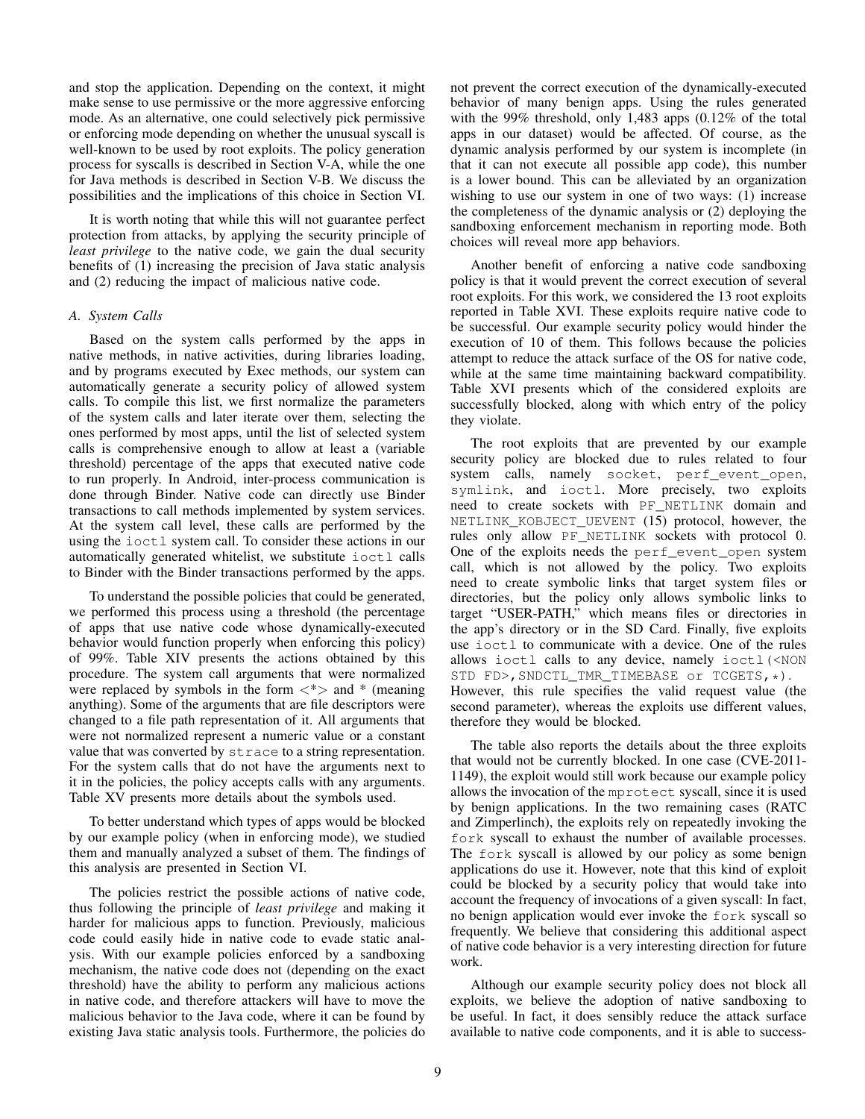and stop the application. Depending on the context, it might make sense to use permissive or the more aggressive enforcing mode. As an alternative, one could selectively pick permissive or enforcing mode depending on whether the unusual syscall is well-known to be used by root exploits. The policy generation process for syscalls is described in Section V-A, while the one for Java methods is described in Section V-B. We discuss the possibilities and the implications of this choice in Section VI.

It is worth noting that while this will not guarantee perfect protection from attacks, by applying the security principle of *least privilege* to the native code, we gain the dual security benefits of (1) increasing the precision of Java static analysis and (2) reducing the impact of malicious native code.

## *A. System Calls*

Based on the system calls performed by the apps in native methods, in native activities, during libraries loading, and by programs executed by Exec methods, our system can automatically generate a security policy of allowed system calls. To compile this list, we first normalize the parameters of the system calls and later iterate over them, selecting the ones performed by most apps, until the list of selected system calls is comprehensive enough to allow at least a (variable threshold) percentage of the apps that executed native code to run properly. In Android, inter-process communication is done through Binder. Native code can directly use Binder transactions to call methods implemented by system services. At the system call level, these calls are performed by the using the ioctl system call. To consider these actions in our automatically generated whitelist, we substitute ioctl calls to Binder with the Binder transactions performed by the apps.

To understand the possible policies that could be generated, we performed this process using a threshold (the percentage of apps that use native code whose dynamically-executed behavior would function properly when enforcing this policy) of 99%. Table XIV presents the actions obtained by this procedure. The system call arguments that were normalized were replaced by symbols in the form *<*\**>* and \* (meaning anything). Some of the arguments that are file descriptors were changed to a file path representation of it. All arguments that were not normalized represent a numeric value or a constant value that was converted by strace to a string representation. For the system calls that do not have the arguments next to it in the policies, the policy accepts calls with any arguments. Table XV presents more details about the symbols used.

To better understand which types of apps would be blocked by our example policy (when in enforcing mode), we studied them and manually analyzed a subset of them. The findings of this analysis are presented in Section VI.

The policies restrict the possible actions of native code, thus following the principle of *least privilege* and making it harder for malicious apps to function. Previously, malicious code could easily hide in native code to evade static analysis. With our example policies enforced by a sandboxing mechanism, the native code does not (depending on the exact threshold) have the ability to perform any malicious actions in native code, and therefore attackers will have to move the malicious behavior to the Java code, where it can be found by existing Java static analysis tools. Furthermore, the policies do not prevent the correct execution of the dynamically-executed behavior of many benign apps. Using the rules generated with the 99% threshold, only 1,483 apps (0.12% of the total apps in our dataset) would be affected. Of course, as the dynamic analysis performed by our system is incomplete (in that it can not execute all possible app code), this number is a lower bound. This can be alleviated by an organization wishing to use our system in one of two ways: (1) increase the completeness of the dynamic analysis or (2) deploying the sandboxing enforcement mechanism in reporting mode. Both choices will reveal more app behaviors.

Another benefit of enforcing a native code sandboxing policy is that it would prevent the correct execution of several root exploits. For this work, we considered the 13 root exploits reported in Table XVI. These exploits require native code to be successful. Our example security policy would hinder the execution of 10 of them. This follows because the policies attempt to reduce the attack surface of the OS for native code, while at the same time maintaining backward compatibility. Table XVI presents which of the considered exploits are successfully blocked, along with which entry of the policy they violate.

The root exploits that are prevented by our example security policy are blocked due to rules related to four system calls, namely socket, perf\_event\_open, symlink, and ioctl. More precisely, two exploits need to create sockets with PF\_NETLINK domain and NETLINK\_KOBJECT\_UEVENT (15) protocol, however, the rules only allow PF\_NETLINK sockets with protocol 0. One of the exploits needs the perf\_event\_open system call, which is not allowed by the policy. Two exploits need to create symbolic links that target system files or directories, but the policy only allows symbolic links to target "USER-PATH," which means files or directories in the app's directory or in the SD Card. Finally, five exploits use ioctl to communicate with a device. One of the rules allows ioctl calls to any device, namely ioctl(<NON STD FD>, SNDCTL\_TMR\_TIMEBASE or TCGETS, \*). However, this rule specifies the valid request value (the second parameter), whereas the exploits use different values, therefore they would be blocked.

The table also reports the details about the three exploits that would not be currently blocked. In one case (CVE-2011- 1149), the exploit would still work because our example policy allows the invocation of the mprotect syscall, since it is used by benign applications. In the two remaining cases (RATC and Zimperlinch), the exploits rely on repeatedly invoking the fork syscall to exhaust the number of available processes. The fork syscall is allowed by our policy as some benign applications do use it. However, note that this kind of exploit could be blocked by a security policy that would take into account the frequency of invocations of a given syscall: In fact, no benign application would ever invoke the fork syscall so frequently. We believe that considering this additional aspect of native code behavior is a very interesting direction for future work.

Although our example security policy does not block all exploits, we believe the adoption of native sandboxing to be useful. In fact, it does sensibly reduce the attack surface available to native code components, and it is able to success-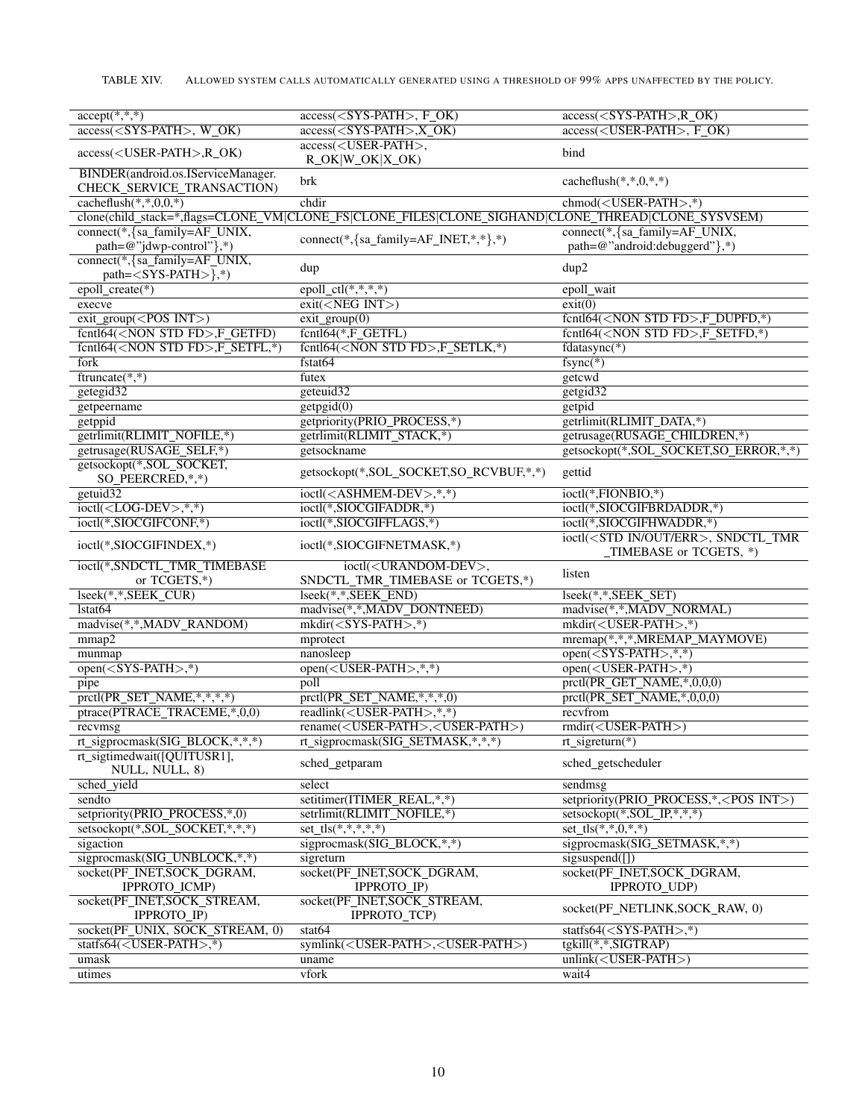| $accept(*, **)$                                                  | $access(<$ SYS-PATH $>$ , F OK)                                                                   | $access(<$ SYS-PATH>, $R_OK$ )                                                 |
|------------------------------------------------------------------|---------------------------------------------------------------------------------------------------|--------------------------------------------------------------------------------|
| $\overline{\text{access}(\text{},\text{W_OK})}$                  | $\overline{\text{access}(\text{},\text{X_OK})}$                                                   | access( <user-path>, F_OK)</user-path>                                         |
| access( <user-path>,R_OK)</user-path>                            | access( <user-path>,<br/><math>R_OK W_OK X_OK</math></user-path>                                  | bind                                                                           |
| BINDER(android.os.IServiceManager.<br>CHECK_SERVICE_TRANSACTION) | brk                                                                                               | cacheflush $(*,*,0,*,*)$                                                       |
| cacheflush $(*,*,0,0,*)$                                         | chdir                                                                                             | $chmod(USER-PATH>,*)$                                                          |
|                                                                  | clone(child_stack=*,flags=CLONE_VM CLONE_FS CLONE_FILES CLONE_SIGHAND CLONE_THREAD CLONE_SYSVSEM) |                                                                                |
| connect(*, {sa_family=AF_UNIX,                                   |                                                                                                   | connect(*, {sa_family=AF_UNIX,                                                 |
| path=@"jdwp-control"},*)                                         | $connect(*, {sa_family=AF_INET, *, *}, *)$                                                        | path=@"android:debuggerd"},*)                                                  |
| connect(*, {sa_family=AF_UNIX,<br>$path=<$ SYS-PATH $>$ },*)     | dup                                                                                               | dup2                                                                           |
| epoll_create(*)                                                  | epoll_ctl(*,*,*,*)                                                                                | epoll_wait                                                                     |
| execve                                                           | ext( <neg int="">)</neg>                                                                          | exit(0)                                                                        |
| $ext_{group(<$ POS INT>)                                         | $\overline{\text{exit\_group}(0)}$                                                                | fcntl64( <non fd="" std="">,F_DUPFD,*)</non>                                   |
| fcntl64( <non fd="" std="">,F_GETFD)</non>                       | fcntl64(*,F_GETFL)                                                                                | fcntl64( <non fd="" std="">,F_SETFD,*)</non>                                   |
| fcntl64( <non fd="" std="">,F_SETFL,*)</non>                     | fcntl64( <non fd="" std="">,F_SETLK,*)</non>                                                      | $fdatasynC(*)$                                                                 |
| fork                                                             | fstat64                                                                                           | $fsync(*)$                                                                     |
| ftruncate $(*,*)$                                                | futex                                                                                             | getcwd                                                                         |
| getegid32                                                        | geteuid32                                                                                         | getgid32                                                                       |
| getpeername                                                      | getpgid(0)                                                                                        | getpid                                                                         |
| getppid                                                          | getpriority(PRIO_PROCESS,*)                                                                       | getrlimit(RLIMIT_DATA,*)                                                       |
| getrlimit(RLIMIT_NOFILE,*)                                       | getrlimit(RLIMIT_STACK,*)                                                                         | getrusage(RUSAGE_CHILDREN,*)                                                   |
|                                                                  |                                                                                                   |                                                                                |
| getrusage(RUSAGE_SELF,*)                                         | getsockname                                                                                       | getsockopt(*,SOL_SOCKET,SO_ERROR,*,*)                                          |
| getsockopt(*,SOL SOCKET,<br>SO_PEERCRED,*,*)                     | getsockopt(*,SOL_SOCKET,SO_RCVBUF,*,*)                                                            | gettid                                                                         |
| getuid32                                                         | ioctl( <ashmem-dev>,*,*)</ashmem-dev>                                                             | ioctl(*,FIONBIO,*)                                                             |
| $ioctl(<$ LOG-DEV>,*,*)                                          | ioctl(*,SIOCGIFADDR,*)                                                                            | ioctl(*,SIOCGIFBRDADDR,*)                                                      |
| ioctl(*,SIOCGIFCONF,*)                                           | ioctl(*,SIOCGIFFLAGS,*)                                                                           | ioctl(*,SIOCGIFHWADDR,*)                                                       |
| ioctl(*,SIOCGIFINDEX,*)                                          | ioctl(*,SIOCGIFNETMASK,*)                                                                         | ioctl( <std err="" in="" out="">, SNDCTL_TMR<br/>_TIMEBASE or TCGETS, *)</std> |
| ioctl(*,SNDCTL_TMR_TIMEBASE<br>or TCGETS,*)                      | ioctl( <urandom-dev>,<br/>SNDCTL_TMR_TIMEBASE or TCGETS,*)</urandom-dev>                          | listen                                                                         |
| lseek(*,*,SEEK_CUR)                                              | lseek(*,*,SEEK_END)                                                                               | lseek(*,*,SEEK_SET)                                                            |
| lstat <sub>64</sub>                                              | madvise(*,*,MADV_DONTNEED)                                                                        | madvise(*,*,MADV_NORMAL)                                                       |
| madvise(*,*,MADV_RANDOM)                                         | $mkdir(<$ SYS-PATH>,*)                                                                            | mkdir( <user-path>,*)</user-path>                                              |
| mmap2                                                            | mprotect                                                                                          | mremap(*,*,*,MREMAP_MAYMOVE)                                                   |
| munmap                                                           | nanosleep                                                                                         | $open(<$ SYS-PATH>,*,*)                                                        |
| $open(<$ SYS-PATH>,*)                                            | $open(<$ USER-PATH>,*,*)                                                                          | $open(<$ USER-PATH>,*)                                                         |
|                                                                  |                                                                                                   |                                                                                |
| pipe                                                             | poll                                                                                              | prctl(PR_GET_NAME,*,0,0,0)                                                     |
| pretl(PR_SET_NAME,*,*,*,*)                                       | $\overline{\text{protl(PR\_SET\_NAME,*,*,*,0)}}$                                                  | prctl(PR_SET_NAME,*,0,0,0)                                                     |
| ptrace(PTRACE_TRACEME,*,0,0)                                     | readlink( <user-path>,*,*)</user-path>                                                            | recyfrom                                                                       |
| recvmsg                                                          | rename( <user-path>,<user-path>)</user-path></user-path>                                          | rmdir( <user-path>)</user-path>                                                |
| rt_sigprocmask(SIG_BLOCK,*,*,*)                                  | rt_sigprocmask(SIG_SETMASK,*,*,*)                                                                 | $rt$ _sigreturn(*)                                                             |
| rt_sigtimedwait([QUITUSR1],<br>NULL, NULL, 8)                    | sched_getparam                                                                                    | sched_getscheduler                                                             |
| sched yield                                                      | select                                                                                            | sendmsg                                                                        |
| sendto                                                           | setitimer(ITIMER_REAL,*,*)                                                                        | setpriority(PRIO_PROCESS,*, <pos int="">)</pos>                                |
| setpriority(PRIO_PROCESS,*,0)                                    | setrlimit(RLIMIT NOFILE,*)                                                                        | setsockopt(*, SOL_IP, *, *, *)                                                 |
| setsockopt(*, SOL_SOCKET,*,*,*)                                  | $set_1s(*,*,*,*,*)$                                                                               | $set_{ts}(*,*,0,*,*)$                                                          |
| sigaction                                                        | sigprocmask(SIG_BLOCK,*,*)                                                                        | sigprocmask(SIG_SETMASK,*,*)                                                   |
| sigprocmask(SIG_UNBLOCK,*,*)                                     | sigreturn                                                                                         | sigsuspend([])                                                                 |
| socket(PF_INET,SOCK_DGRAM,                                       | socket(PF_INET,SOCK_DGRAM,                                                                        | socket(PF_INET,SOCK_DGRAM,                                                     |
| IPPROTO_ICMP)                                                    | IPPROTO_IP)                                                                                       | IPPROTO_UDP)                                                                   |
| socket(PF_INET,SOCK_STREAM,<br>IPPROTO_IP)                       | socket(PF_INET,SOCK_STREAM,<br>IPPROTO_TCP)                                                       | socket(PF_NETLINK,SOCK_RAW, 0)                                                 |
| socket(PF_UNIX, SOCK_STREAM, 0)                                  | stat64                                                                                            | statfs64( $\langle$ SYS-PATH $>$ ,*)                                           |
| statfs64( <user-path>,*)</user-path>                             | symlink( <user-path>,<user-path>)</user-path></user-path>                                         | tgkill(*,*,SIGTRAP)                                                            |
| umask                                                            | uname                                                                                             | $unlink(USER-PATH)$                                                            |
| utimes                                                           | vfork                                                                                             | wait4                                                                          |
|                                                                  |                                                                                                   |                                                                                |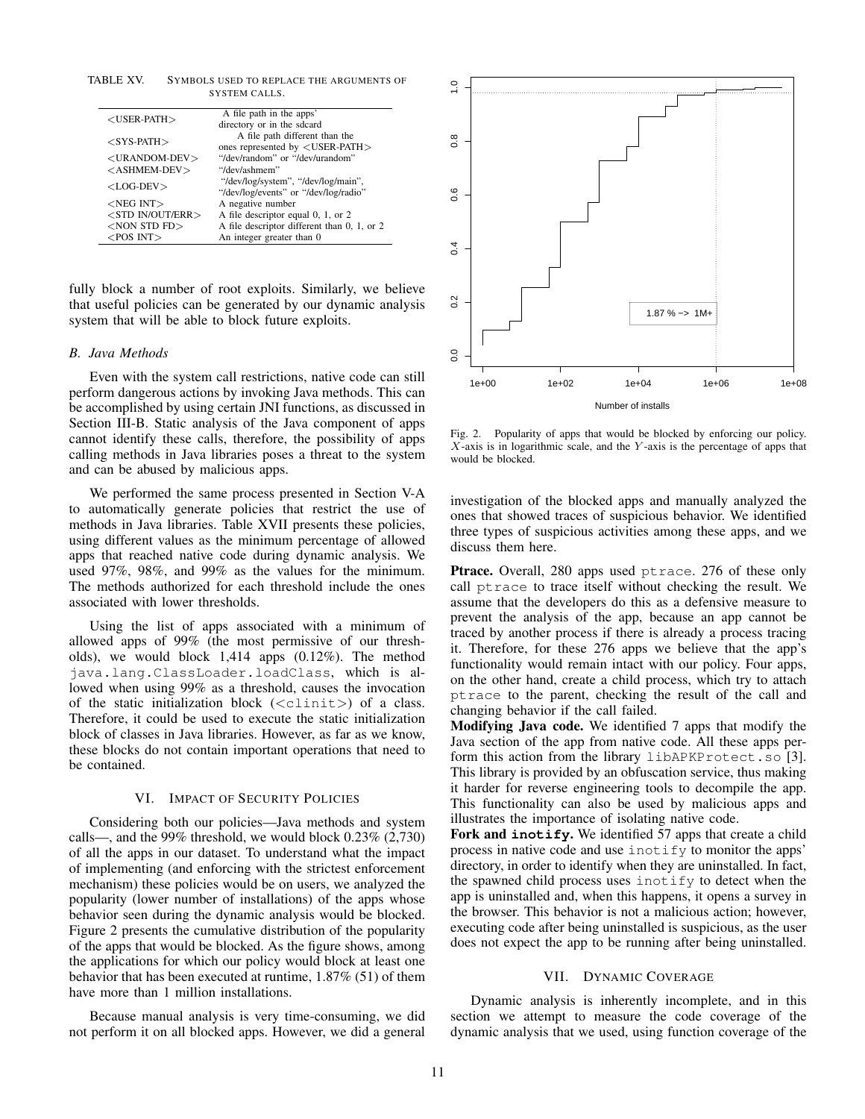TABLE XV. SYMBOLS USED TO REPLACE THE ARGUMENTS OF SYSTEM CALLS.

| $<$ USER-PATH $>$      | A file path in the apps'                                                     |
|------------------------|------------------------------------------------------------------------------|
|                        | directory or in the sdcard                                                   |
| $<$ SYS-PATH $>$       | A file path different than the                                               |
|                        | ones represented by $\langle$ USER-PATH $>$                                  |
| $<$ URANDOM-DEV $>$    | "/dev/random" or "/dev/urandom"                                              |
| $<$ ASHMEM-DEV $>$     | "/dev/ashmem"                                                                |
| $<$ LOG-DEV $>$        | "/dev/log/system", "/dev/log/main",<br>"/dev/log/events" or "/dev/log/radio" |
| $<$ NEG INT $>$        | A negative number                                                            |
| $<$ STD IN/OUT/ERR $>$ | A file descriptor equal 0, 1, or 2                                           |
| $<$ NON STD FD $>$     | A file descriptor different than 0, 1, or 2                                  |
| $<$ POS INT $>$        | An integer greater than 0                                                    |

fully block a number of root exploits. Similarly, we believe that useful policies can be generated by our dynamic analysis system that will be able to block future exploits.

#### *B. Java Methods*

Even with the system call restrictions, native code can still perform dangerous actions by invoking Java methods. This can be accomplished by using certain JNI functions, as discussed in Section III-B. Static analysis of the Java component of apps cannot identify these calls, therefore, the possibility of apps calling methods in Java libraries poses a threat to the system and can be abused by malicious apps.

We performed the same process presented in Section V-A to automatically generate policies that restrict the use of methods in Java libraries. Table XVII presents these policies, using different values as the minimum percentage of allowed apps that reached native code during dynamic analysis. We used 97%, 98%, and 99% as the values for the minimum. The methods authorized for each threshold include the ones associated with lower thresholds.

Using the list of apps associated with a minimum of allowed apps of 99% (the most permissive of our thresholds), we would block 1,414 apps (0.12%). The method java.lang.ClassLoader.loadClass, which is allowed when using 99% as a threshold, causes the invocation of the static initialization block (*<*clinit*>*) of a class. Therefore, it could be used to execute the static initialization block of classes in Java libraries. However, as far as we know, these blocks do not contain important operations that need to be contained.

#### VI. IMPACT OF SECURITY POLICIES

Considering both our policies—Java methods and system calls—, and the 99% threshold, we would block 0.23% (2,730) of all the apps in our dataset. To understand what the impact of implementing (and enforcing with the strictest enforcement mechanism) these policies would be on users, we analyzed the popularity (lower number of installations) of the apps whose behavior seen during the dynamic analysis would be blocked. Figure 2 presents the cumulative distribution of the popularity of the apps that would be blocked. As the figure shows, among the applications for which our policy would block at least one behavior that has been executed at runtime, 1.87% (51) of them have more than 1 million installations.

Because manual analysis is very time-consuming, we did not perform it on all blocked apps. However, we did a general



Fig. 2. Popularity of apps that would be blocked by enforcing our policy. *X*-axis is in logarithmic scale, and the *Y* -axis is the percentage of apps that would be blocked.

investigation of the blocked apps and manually analyzed the ones that showed traces of suspicious behavior. We identified three types of suspicious activities among these apps, and we discuss them here.

Ptrace. Overall, 280 apps used ptrace. 276 of these only call ptrace to trace itself without checking the result. We assume that the developers do this as a defensive measure to prevent the analysis of the app, because an app cannot be traced by another process if there is already a process tracing it. Therefore, for these 276 apps we believe that the app's functionality would remain intact with our policy. Four apps, on the other hand, create a child process, which try to attach ptrace to the parent, checking the result of the call and changing behavior if the call failed.

Modifying Java code. We identified 7 apps that modify the Java section of the app from native code. All these apps perform this action from the library libAPKProtect.so [3]. This library is provided by an obfuscation service, thus making it harder for reverse engineering tools to decompile the app. This functionality can also be used by malicious apps and illustrates the importance of isolating native code.

Fork and **inotify**. We identified 57 apps that create a child process in native code and use inotify to monitor the apps' directory, in order to identify when they are uninstalled. In fact, the spawned child process uses inotify to detect when the app is uninstalled and, when this happens, it opens a survey in the browser. This behavior is not a malicious action; however, executing code after being uninstalled is suspicious, as the user does not expect the app to be running after being uninstalled.

#### VII. DYNAMIC COVERAGE

Dynamic analysis is inherently incomplete, and in this section we attempt to measure the code coverage of the dynamic analysis that we used, using function coverage of the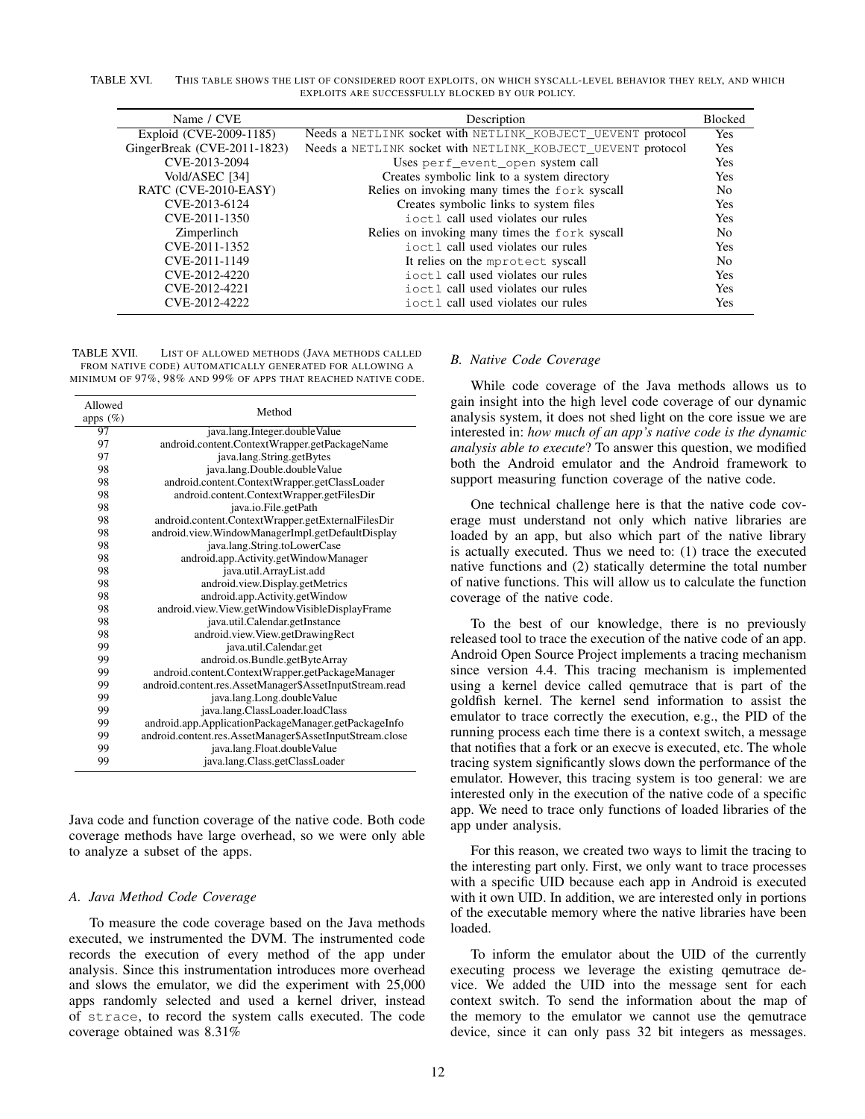TABLE XVI. THIS TABLE SHOWS THE LIST OF CONSIDERED ROOT EXPLOITS, ON WHICH SYSCALL-LEVEL BEHAVIOR THEY RELY, AND WHICH EXPLOITS ARE SUCCESSFULLY BLOCKED BY OUR POLICY.

| Name / CVE                  | Description                                                 | <b>Blocked</b> |
|-----------------------------|-------------------------------------------------------------|----------------|
| Exploid (CVE-2009-1185)     | Needs a NETLINK socket with NETLINK_KOBJECT_UEVENT protocol | <b>Yes</b>     |
| GingerBreak (CVE-2011-1823) | Needs a NETLINK socket with NETLINK KOBJECT UEVENT protocol | Yes            |
| CVE-2013-2094               | Uses perf_event_open system call                            | Yes            |
| Vold/ASEC [34]              | Creates symbolic link to a system directory                 | Yes            |
| RATC (CVE-2010-EASY)        | Relies on invoking many times the fork syscall              | N <sub>0</sub> |
| CVE-2013-6124               | Creates symbolic links to system files                      | Yes            |
| CVE-2011-1350               | i oct. I call used violates our rules                       | Yes            |
| Zimperlinch                 | Relies on invoking many times the fork syscall              | N <sub>0</sub> |
| CVE-2011-1352               | i oct. I call used violates our rules                       | Yes            |
| CVE-2011-1149               | It relies on the mprotect syscall                           | N <sub>0</sub> |
| CVE-2012-4220               | ioctl call used violates our rules                          | <b>Yes</b>     |
| CVE-2012-4221               | ioctl call used violates our rules                          | Yes            |
| CVE-2012-4222               | i oct. I call used violates our rules                       | Yes            |

TABLE XVII. LIST OF ALLOWED METHODS (JAVA METHODS CALLED FROM NATIVE CODE) AUTOMATICALLY GENERATED FOR ALLOWING A MINIMUM OF 97%, 98% AND 99% OF APPS THAT REACHED NATIVE CODE.

| Allowed     | Method                                                   |
|-------------|----------------------------------------------------------|
| apps $(\%)$ |                                                          |
| 97          | java.lang.Integer.doubleValue                            |
| 97          | android.content.ContextWrapper.getPackageName            |
| 97          | java.lang.String.getBytes                                |
| 98          | java.lang.Double.doubleValue                             |
| 98          | android.content.ContextWrapper.getClassLoader            |
| 98          | android.content.ContextWrapper.getFilesDir               |
| 98          | java.io.File.getPath                                     |
| 98          | android.content.ContextWrapper.getExternalFilesDir       |
| 98          | android.view.WindowManagerImpl.getDefaultDisplay         |
| 98          | java.lang.String.toLowerCase                             |
| 98          | android.app.Activity.getWindowManager                    |
| 98          | java.util.ArrayList.add                                  |
| 98          | android.view.Display.getMetrics                          |
| 98          | android.app.Activity.getWindow                           |
| 98          | android.view.View.getWindowVisibleDisplayFrame           |
| 98          | java.util.Calendar.getInstance                           |
| 98          | android.view.View.getDrawingRect                         |
| 99          | java.util.Calendar.get                                   |
| 99          | android.os.Bundle.getByteArray                           |
| 99          | android.content.ContextWrapper.getPackageManager         |
| 99          | android.content.res.AssetManager\$AssetInputStream.read  |
| 99          | java.lang.Long.doubleValue                               |
| 99          | java.lang.ClassLoader.loadClass                          |
| 99          | android.app.ApplicationPackageManager.getPackageInfo     |
| 99          | android.content.res.AssetManager\$AssetInputStream.close |
| 99          | java.lang.Float.doubleValue                              |
| 99          | java.lang.Class.getClassLoader                           |

Java code and function coverage of the native code. Both code coverage methods have large overhead, so we were only able to analyze a subset of the apps.

## *A. Java Method Code Coverage*

To measure the code coverage based on the Java methods executed, we instrumented the DVM. The instrumented code records the execution of every method of the app under analysis. Since this instrumentation introduces more overhead and slows the emulator, we did the experiment with 25,000 apps randomly selected and used a kernel driver, instead of strace, to record the system calls executed. The code coverage obtained was 8.31%

#### *B. Native Code Coverage*

While code coverage of the Java methods allows us to gain insight into the high level code coverage of our dynamic analysis system, it does not shed light on the core issue we are interested in: *how much of an app's native code is the dynamic analysis able to execute*? To answer this question, we modified both the Android emulator and the Android framework to support measuring function coverage of the native code.

One technical challenge here is that the native code coverage must understand not only which native libraries are loaded by an app, but also which part of the native library is actually executed. Thus we need to: (1) trace the executed native functions and (2) statically determine the total number of native functions. This will allow us to calculate the function coverage of the native code.

To the best of our knowledge, there is no previously released tool to trace the execution of the native code of an app. Android Open Source Project implements a tracing mechanism since version 4.4. This tracing mechanism is implemented using a kernel device called qemutrace that is part of the goldfish kernel. The kernel send information to assist the emulator to trace correctly the execution, e.g., the PID of the running process each time there is a context switch, a message that notifies that a fork or an execve is executed, etc. The whole tracing system significantly slows down the performance of the emulator. However, this tracing system is too general: we are interested only in the execution of the native code of a specific app. We need to trace only functions of loaded libraries of the app under analysis.

For this reason, we created two ways to limit the tracing to the interesting part only. First, we only want to trace processes with a specific UID because each app in Android is executed with it own UID. In addition, we are interested only in portions of the executable memory where the native libraries have been loaded.

To inform the emulator about the UID of the currently executing process we leverage the existing qemutrace device. We added the UID into the message sent for each context switch. To send the information about the map of the memory to the emulator we cannot use the qemutrace device, since it can only pass 32 bit integers as messages.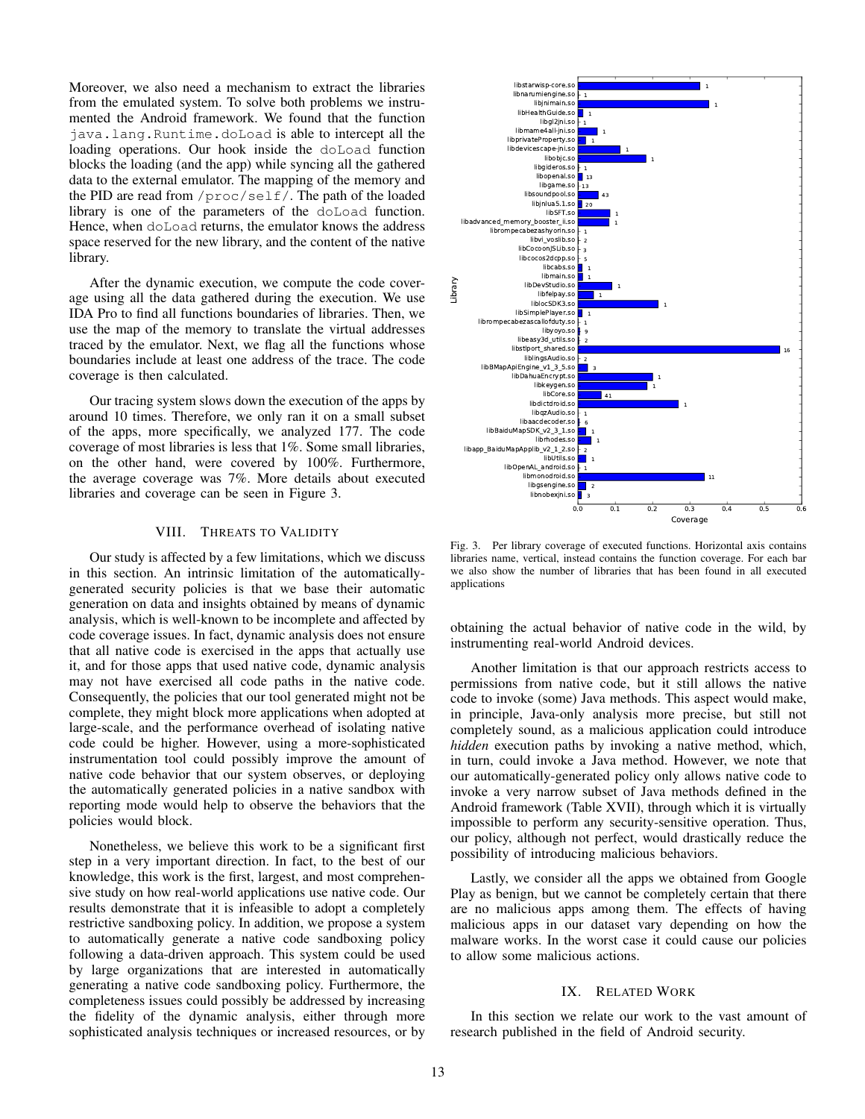Moreover, we also need a mechanism to extract the libraries from the emulated system. To solve both problems we instrumented the Android framework. We found that the function java.lang.Runtime.doLoad is able to intercept all the loading operations. Our hook inside the doLoad function blocks the loading (and the app) while syncing all the gathered data to the external emulator. The mapping of the memory and the PID are read from /proc/self/. The path of the loaded library is one of the parameters of the doLoad function. Hence, when doLoad returns, the emulator knows the address space reserved for the new library, and the content of the native library.

After the dynamic execution, we compute the code coverage using all the data gathered during the execution. We use IDA Pro to find all functions boundaries of libraries. Then, we use the map of the memory to translate the virtual addresses traced by the emulator. Next, we flag all the functions whose boundaries include at least one address of the trace. The code coverage is then calculated.

Our tracing system slows down the execution of the apps by around 10 times. Therefore, we only ran it on a small subset of the apps, more specifically, we analyzed 177. The code coverage of most libraries is less that 1%. Some small libraries, on the other hand, were covered by 100%. Furthermore, the average coverage was 7%. More details about executed libraries and coverage can be seen in Figure 3.

## VIII. THREATS TO VALIDITY

Our study is affected by a few limitations, which we discuss in this section. An intrinsic limitation of the automaticallygenerated security policies is that we base their automatic generation on data and insights obtained by means of dynamic analysis, which is well-known to be incomplete and affected by code coverage issues. In fact, dynamic analysis does not ensure that all native code is exercised in the apps that actually use it, and for those apps that used native code, dynamic analysis may not have exercised all code paths in the native code. Consequently, the policies that our tool generated might not be complete, they might block more applications when adopted at large-scale, and the performance overhead of isolating native code could be higher. However, using a more-sophisticated instrumentation tool could possibly improve the amount of native code behavior that our system observes, or deploying the automatically generated policies in a native sandbox with reporting mode would help to observe the behaviors that the policies would block.

Nonetheless, we believe this work to be a significant first step in a very important direction. In fact, to the best of our knowledge, this work is the first, largest, and most comprehensive study on how real-world applications use native code. Our results demonstrate that it is infeasible to adopt a completely restrictive sandboxing policy. In addition, we propose a system to automatically generate a native code sandboxing policy following a data-driven approach. This system could be used by large organizations that are interested in automatically generating a native code sandboxing policy. Furthermore, the completeness issues could possibly be addressed by increasing the fidelity of the dynamic analysis, either through more sophisticated analysis techniques or increased resources, or by



Fig. 3. Per library coverage of executed functions. Horizontal axis contains libraries name, vertical, instead contains the function coverage. For each bar we also show the number of libraries that has been found in all executed applications

obtaining the actual behavior of native code in the wild, by instrumenting real-world Android devices.

Another limitation is that our approach restricts access to permissions from native code, but it still allows the native code to invoke (some) Java methods. This aspect would make, in principle, Java-only analysis more precise, but still not completely sound, as a malicious application could introduce *hidden* execution paths by invoking a native method, which, in turn, could invoke a Java method. However, we note that our automatically-generated policy only allows native code to invoke a very narrow subset of Java methods defined in the Android framework (Table XVII), through which it is virtually impossible to perform any security-sensitive operation. Thus, our policy, although not perfect, would drastically reduce the possibility of introducing malicious behaviors.

Lastly, we consider all the apps we obtained from Google Play as benign, but we cannot be completely certain that there are no malicious apps among them. The effects of having malicious apps in our dataset vary depending on how the malware works. In the worst case it could cause our policies to allow some malicious actions.

#### IX. RELATED WORK

In this section we relate our work to the vast amount of research published in the field of Android security.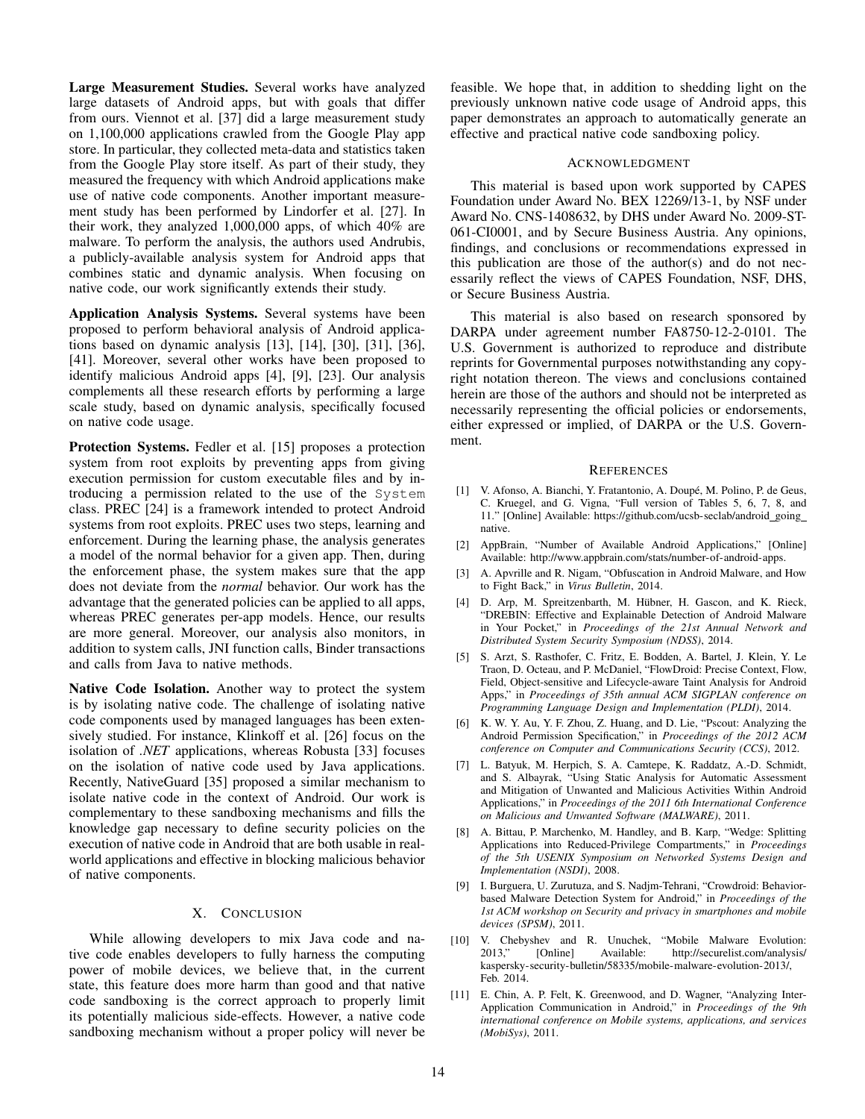Large Measurement Studies. Several works have analyzed large datasets of Android apps, but with goals that differ from ours. Viennot et al. [37] did a large measurement study on 1,100,000 applications crawled from the Google Play app store. In particular, they collected meta-data and statistics taken from the Google Play store itself. As part of their study, they measured the frequency with which Android applications make use of native code components. Another important measurement study has been performed by Lindorfer et al. [27]. In their work, they analyzed 1,000,000 apps, of which 40% are malware. To perform the analysis, the authors used Andrubis, a publicly-available analysis system for Android apps that combines static and dynamic analysis. When focusing on native code, our work significantly extends their study.

Application Analysis Systems. Several systems have been proposed to perform behavioral analysis of Android applications based on dynamic analysis [13], [14], [30], [31], [36], [41]. Moreover, several other works have been proposed to identify malicious Android apps [4], [9], [23]. Our analysis complements all these research efforts by performing a large scale study, based on dynamic analysis, specifically focused on native code usage.

Protection Systems. Fedler et al. [15] proposes a protection system from root exploits by preventing apps from giving execution permission for custom executable files and by introducing a permission related to the use of the System class. PREC [24] is a framework intended to protect Android systems from root exploits. PREC uses two steps, learning and enforcement. During the learning phase, the analysis generates a model of the normal behavior for a given app. Then, during the enforcement phase, the system makes sure that the app does not deviate from the *normal* behavior. Our work has the advantage that the generated policies can be applied to all apps, whereas PREC generates per-app models. Hence, our results are more general. Moreover, our analysis also monitors, in addition to system calls, JNI function calls, Binder transactions and calls from Java to native methods.

Native Code Isolation. Another way to protect the system is by isolating native code. The challenge of isolating native code components used by managed languages has been extensively studied. For instance, Klinkoff et al. [26] focus on the isolation of *.NET* applications, whereas Robusta [33] focuses on the isolation of native code used by Java applications. Recently, NativeGuard [35] proposed a similar mechanism to isolate native code in the context of Android. Our work is complementary to these sandboxing mechanisms and fills the knowledge gap necessary to define security policies on the execution of native code in Android that are both usable in realworld applications and effective in blocking malicious behavior of native components.

## X. CONCLUSION

While allowing developers to mix Java code and native code enables developers to fully harness the computing power of mobile devices, we believe that, in the current state, this feature does more harm than good and that native code sandboxing is the correct approach to properly limit its potentially malicious side-effects. However, a native code sandboxing mechanism without a proper policy will never be feasible. We hope that, in addition to shedding light on the previously unknown native code usage of Android apps, this paper demonstrates an approach to automatically generate an effective and practical native code sandboxing policy.

#### ACKNOWLEDGMENT

This material is based upon work supported by CAPES Foundation under Award No. BEX 12269/13-1, by NSF under Award No. CNS-1408632, by DHS under Award No. 2009-ST-061-CI0001, and by Secure Business Austria. Any opinions, findings, and conclusions or recommendations expressed in this publication are those of the author(s) and do not necessarily reflect the views of CAPES Foundation, NSF, DHS, or Secure Business Austria.

This material is also based on research sponsored by DARPA under agreement number FA8750-12-2-0101. The U.S. Government is authorized to reproduce and distribute reprints for Governmental purposes notwithstanding any copyright notation thereon. The views and conclusions contained herein are those of the authors and should not be interpreted as necessarily representing the official policies or endorsements, either expressed or implied, of DARPA or the U.S. Government.

#### **REFERENCES**

- [1] V. Afonso, A. Bianchi, Y. Fratantonio, A. Doupe, M. Polino, P. de Geus, ´ C. Kruegel, and G. Vigna, "Full version of Tables 5, 6, 7, 8, and 11." [Online] Available: https://github.com/ucsb-seclab/android\_going\_ native.
- [2] AppBrain, "Number of Available Android Applications," [Online] Available: http://www.appbrain.com/stats/number-of-android-apps.
- [3] A. Apvrille and R. Nigam, "Obfuscation in Android Malware, and How to Fight Back," in *Virus Bulletin*, 2014.
- [4] D. Arp, M. Spreitzenbarth, M. Hübner, H. Gascon, and K. Rieck, "DREBIN: Effective and Explainable Detection of Android Malware in Your Pocket," in *Proceedings of the 21st Annual Network and Distributed System Security Symposium (NDSS)*, 2014.
- [5] S. Arzt, S. Rasthofer, C. Fritz, E. Bodden, A. Bartel, J. Klein, Y. Le Traon, D. Octeau, and P. McDaniel, "FlowDroid: Precise Context, Flow, Field, Object-sensitive and Lifecycle-aware Taint Analysis for Android Apps," in *Proceedings of 35th annual ACM SIGPLAN conference on Programming Language Design and Implementation (PLDI)*, 2014.
- [6] K. W. Y. Au, Y. F. Zhou, Z. Huang, and D. Lie, "Pscout: Analyzing the Android Permission Specification," in *Proceedings of the 2012 ACM conference on Computer and Communications Security (CCS)*, 2012.
- [7] L. Batyuk, M. Herpich, S. A. Camtepe, K. Raddatz, A.-D. Schmidt, and S. Albayrak, "Using Static Analysis for Automatic Assessment and Mitigation of Unwanted and Malicious Activities Within Android Applications," in *Proceedings of the 2011 6th International Conference on Malicious and Unwanted Software (MALWARE)*, 2011.
- [8] A. Bittau, P. Marchenko, M. Handley, and B. Karp, "Wedge: Splitting Applications into Reduced-Privilege Compartments," in *Proceedings of the 5th USENIX Symposium on Networked Systems Design and Implementation (NSDI)*, 2008.
- [9] I. Burguera, U. Zurutuza, and S. Nadjm-Tehrani, "Crowdroid: Behaviorbased Malware Detection System for Android," in *Proceedings of the 1st ACM workshop on Security and privacy in smartphones and mobile devices (SPSM)*, 2011.
- [10] V. Chebyshev and R. Unuchek, "Mobile Malware Evolution: 2013," [Online] Available: http://securelist.com/analysis/ kaspersky-security-bulletin/58335/mobile-malware-evolution-2013/, Feb. 2014.
- [11] E. Chin, A. P. Felt, K. Greenwood, and D. Wagner, "Analyzing Inter-Application Communication in Android," in *Proceedings of the 9th international conference on Mobile systems, applications, and services (MobiSys)*, 2011.